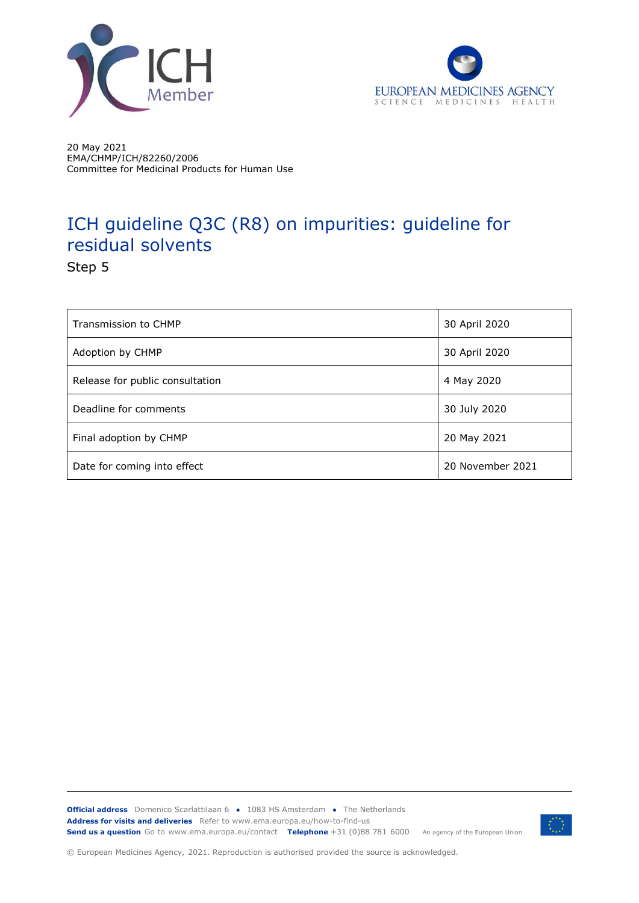



20 May 2021 EMA/CHMP/ICH/82260/2006 Committee for Medicinal Products for Human Use

# ICH guideline Q3C (R8) on impurities: guideline for residual solvents

Step 5

| Transmission to CHMP            | 30 April 2020    |
|---------------------------------|------------------|
| Adoption by CHMP                | 30 April 2020    |
| Release for public consultation | 4 May 2020       |
| Deadline for comments           | 30 July 2020     |
| Final adoption by CHMP          | 20 May 2021      |
| Date for coming into effect     | 20 November 2021 |

**Official address** Domenico Scarlattilaan 6 **●** 1083 HS Amsterdam **●** The Netherlands An agency of the European Union **Address for visits and deliveries** Refer to www.ema.europa.eu/how-to-find-us **Send us a question** Go to www.ema.europa.eu/contact **Telephone** +31 (0)88 781 6000



© European Medicines Agency, 2021. Reproduction is authorised provided the source is acknowledged.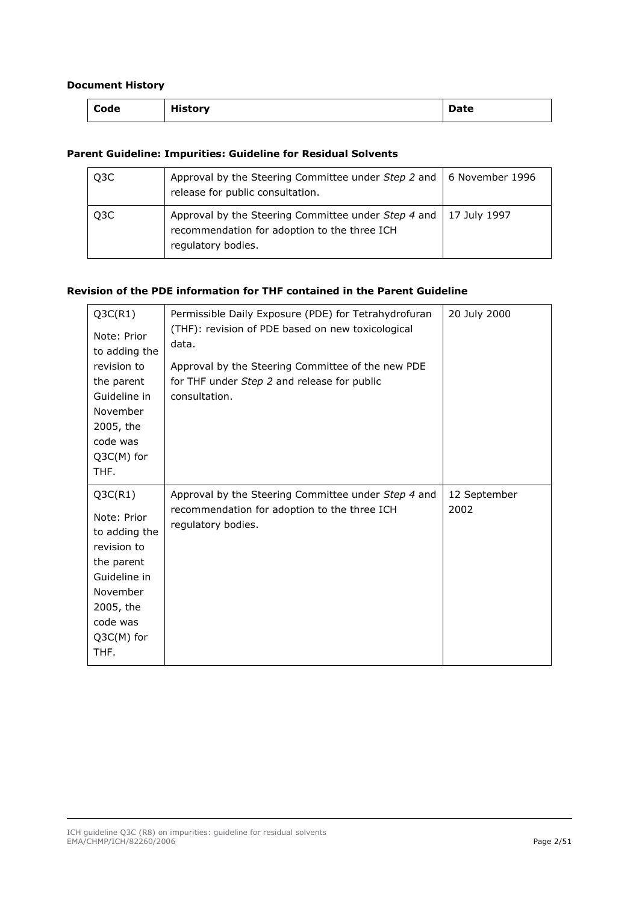#### **Document History**

| Code | <b>History</b> | Date |
|------|----------------|------|
|      |                |      |

#### **Parent Guideline: Impurities: Guideline for Residual Solvents**

| Q3C              | Approval by the Steering Committee under Step 2 and   6 November 1996<br>release for public consultation.                                |  |
|------------------|------------------------------------------------------------------------------------------------------------------------------------------|--|
| Q <sub>3</sub> C | Approval by the Steering Committee under Step 4 and   17 July 1997<br>recommendation for adoption to the three ICH<br>regulatory bodies. |  |

#### **Revision of the PDE information for THF contained in the Parent Guideline**

| Q3C(R1)<br>Note: Prior<br>to adding the<br>revision to<br>the parent<br>Guideline in<br>November<br>2005, the<br>code was<br>$Q3C(M)$ for<br>THF. | Permissible Daily Exposure (PDE) for Tetrahydrofuran<br>(THF): revision of PDE based on new toxicological<br>data.<br>Approval by the Steering Committee of the new PDE<br>for THF under Step 2 and release for public<br>consultation. | 20 July 2000         |
|---------------------------------------------------------------------------------------------------------------------------------------------------|-----------------------------------------------------------------------------------------------------------------------------------------------------------------------------------------------------------------------------------------|----------------------|
| Q3C(R1)<br>Note: Prior<br>to adding the<br>revision to<br>the parent<br>Guideline in<br>November<br>2005, the<br>code was<br>Q3C(M) for<br>THF.   | Approval by the Steering Committee under Step 4 and<br>recommendation for adoption to the three ICH<br>regulatory bodies.                                                                                                               | 12 September<br>2002 |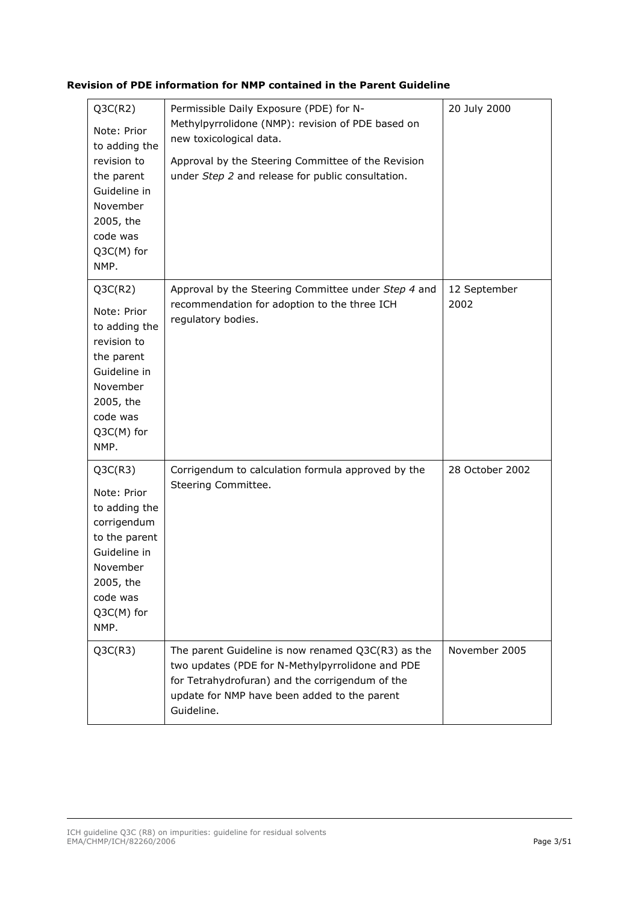#### **Revision of PDE information for NMP contained in the Parent Guideline**

| Q3C(R2)<br>Note: Prior<br>to adding the<br>revision to<br>the parent<br>Guideline in<br>November<br>2005, the<br>code was<br>Q3C(M) for<br>NMP.    | Permissible Daily Exposure (PDE) for N-<br>Methylpyrrolidone (NMP): revision of PDE based on<br>new toxicological data.<br>Approval by the Steering Committee of the Revision<br>under Step 2 and release for public consultation. | 20 July 2000         |
|----------------------------------------------------------------------------------------------------------------------------------------------------|------------------------------------------------------------------------------------------------------------------------------------------------------------------------------------------------------------------------------------|----------------------|
| Q3C(R2)<br>Note: Prior<br>to adding the<br>revision to<br>the parent<br>Guideline in<br>November<br>2005, the<br>code was<br>Q3C(M) for<br>NMP.    | Approval by the Steering Committee under Step 4 and<br>recommendation for adoption to the three ICH<br>regulatory bodies.                                                                                                          | 12 September<br>2002 |
| Q3C(R3)<br>Note: Prior<br>to adding the<br>corrigendum<br>to the parent<br>Guideline in<br>November<br>2005, the<br>code was<br>Q3C(M) for<br>NMP. | Corrigendum to calculation formula approved by the<br>Steering Committee.                                                                                                                                                          | 28 October 2002      |
| Q3C(R3)                                                                                                                                            | The parent Guideline is now renamed Q3C(R3) as the<br>two updates (PDE for N-Methylpyrrolidone and PDE<br>for Tetrahydrofuran) and the corrigendum of the<br>update for NMP have been added to the parent<br>Guideline.            | November 2005        |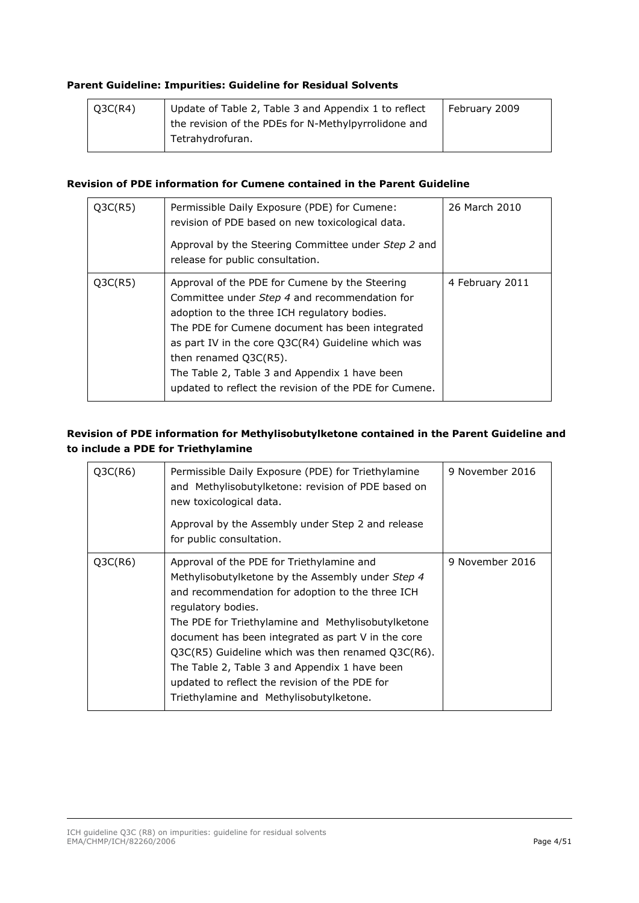#### **Parent Guideline: Impurities: Guideline for Residual Solvents**

| Q3C(R4) | Update of Table 2, Table 3 and Appendix 1 to reflect | February 2009 |
|---------|------------------------------------------------------|---------------|
|         | the revision of the PDEs for N-Methylpyrrolidone and |               |
|         | Tetrahydrofuran.                                     |               |
|         |                                                      |               |

#### **Revision of PDE information for Cumene contained in the Parent Guideline**

| Q3C(R5) | Permissible Daily Exposure (PDE) for Cumene:<br>revision of PDE based on new toxicological data.                                                                                                                                                                                                                                                                                                | 26 March 2010   |
|---------|-------------------------------------------------------------------------------------------------------------------------------------------------------------------------------------------------------------------------------------------------------------------------------------------------------------------------------------------------------------------------------------------------|-----------------|
|         | Approval by the Steering Committee under Step 2 and<br>release for public consultation.                                                                                                                                                                                                                                                                                                         |                 |
| Q3C(R5) | Approval of the PDE for Cumene by the Steering<br>Committee under Step 4 and recommendation for<br>adoption to the three ICH regulatory bodies.<br>The PDE for Cumene document has been integrated<br>as part IV in the core Q3C(R4) Guideline which was<br>then renamed $Q3C(R5)$ .<br>The Table 2, Table 3 and Appendix 1 have been<br>updated to reflect the revision of the PDE for Cumene. | 4 February 2011 |

#### **Revision of PDE information for Methylisobutylketone contained in the Parent Guideline and to include a PDE for Triethylamine**

| Q3C(R6) | Permissible Daily Exposure (PDE) for Triethylamine<br>and Methylisobutylketone: revision of PDE based on<br>new toxicological data.<br>Approval by the Assembly under Step 2 and release<br>for public consultation.                                                                                                                                                                                                                                                                         | 9 November 2016 |
|---------|----------------------------------------------------------------------------------------------------------------------------------------------------------------------------------------------------------------------------------------------------------------------------------------------------------------------------------------------------------------------------------------------------------------------------------------------------------------------------------------------|-----------------|
| Q3C(R6) | Approval of the PDE for Triethylamine and<br>Methylisobutylketone by the Assembly under Step 4<br>and recommendation for adoption to the three ICH<br>regulatory bodies.<br>The PDE for Triethylamine and Methylisobutylketone<br>document has been integrated as part V in the core<br>$Q3C(R5)$ Guideline which was then renamed $Q3C(R6)$ .<br>The Table 2, Table 3 and Appendix 1 have been<br>updated to reflect the revision of the PDE for<br>Triethylamine and Methylisobutylketone. | 9 November 2016 |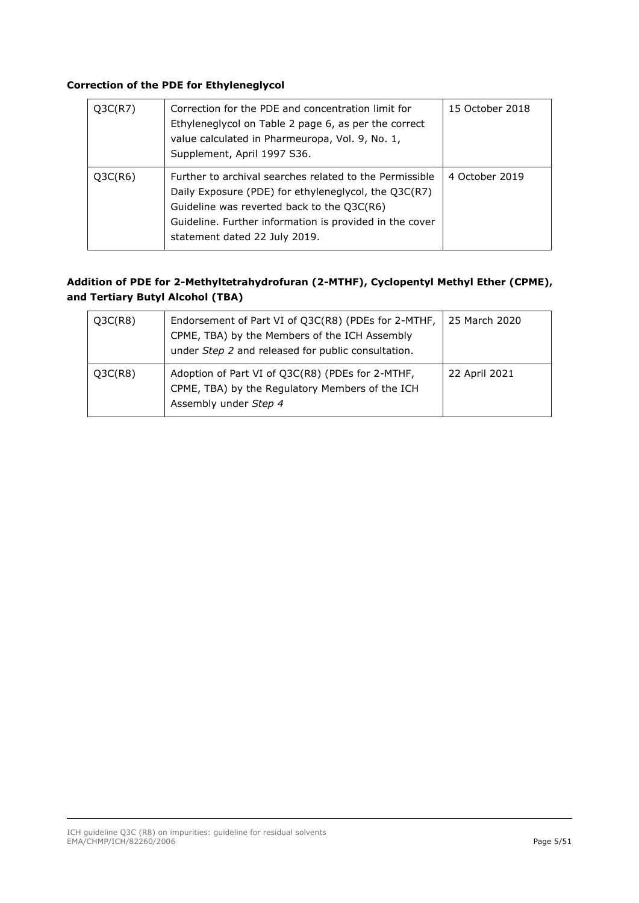#### **Correction of the PDE for Ethyleneglycol**

| Q3C(R7) | Correction for the PDE and concentration limit for<br>Ethyleneglycol on Table 2 page 6, as per the correct<br>value calculated in Pharmeuropa, Vol. 9, No. 1,<br>Supplement, April 1997 S36.                                                              | 15 October 2018 |
|---------|-----------------------------------------------------------------------------------------------------------------------------------------------------------------------------------------------------------------------------------------------------------|-----------------|
| Q3C(R6) | Further to archival searches related to the Permissible<br>Daily Exposure (PDE) for ethyleneglycol, the Q3C(R7)<br>Guideline was reverted back to the Q3C(R6)<br>Guideline. Further information is provided in the cover<br>statement dated 22 July 2019. | 4 October 2019  |

#### **Addition of PDE for 2-Methyltetrahydrofuran (2-MTHF), Cyclopentyl Methyl Ether (CPME), and Tertiary Butyl Alcohol (TBA)**

| Q3C(R8) | Endorsement of Part VI of Q3C(R8) (PDEs for 2-MTHF,<br>CPME, TBA) by the Members of the ICH Assembly<br>under Step 2 and released for public consultation. | 25 March 2020 |
|---------|------------------------------------------------------------------------------------------------------------------------------------------------------------|---------------|
| Q3C(R8) | Adoption of Part VI of Q3C(R8) (PDEs for 2-MTHF,<br>CPME, TBA) by the Regulatory Members of the ICH<br>Assembly under Step 4                               | 22 April 2021 |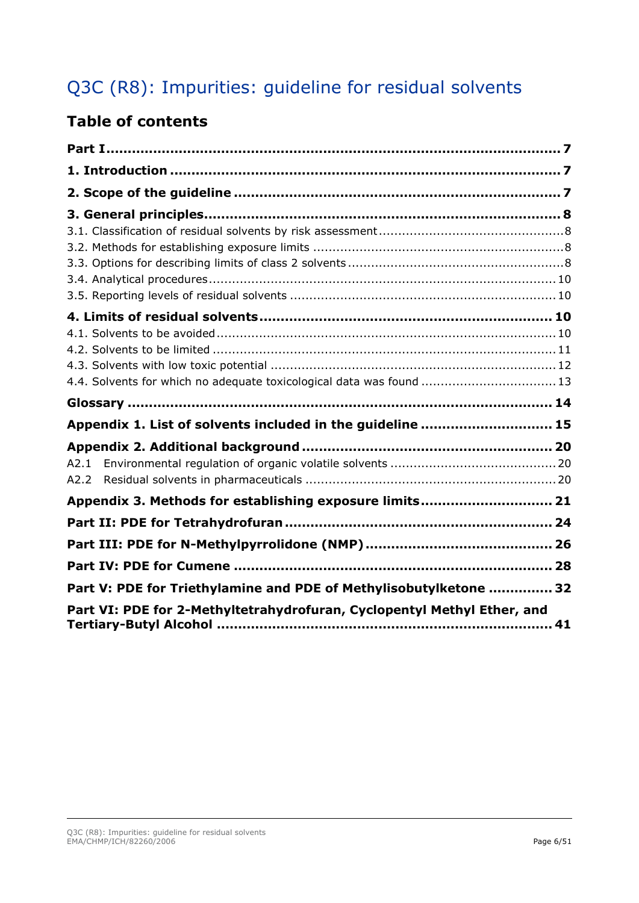# Q3C (R8): Impurities: guideline for residual solvents

# **Table of contents**

| 4.4. Solvents for which no adequate toxicological data was found  13    |  |
|-------------------------------------------------------------------------|--|
|                                                                         |  |
| Appendix 1. List of solvents included in the guideline  15              |  |
|                                                                         |  |
| A2.1                                                                    |  |
| A2.2                                                                    |  |
| Appendix 3. Methods for establishing exposure limits 21                 |  |
|                                                                         |  |
|                                                                         |  |
|                                                                         |  |
| Part V: PDE for Triethylamine and PDE of Methylisobutylketone  32       |  |
| Part VI: PDE for 2-Methyltetrahydrofuran, Cyclopentyl Methyl Ether, and |  |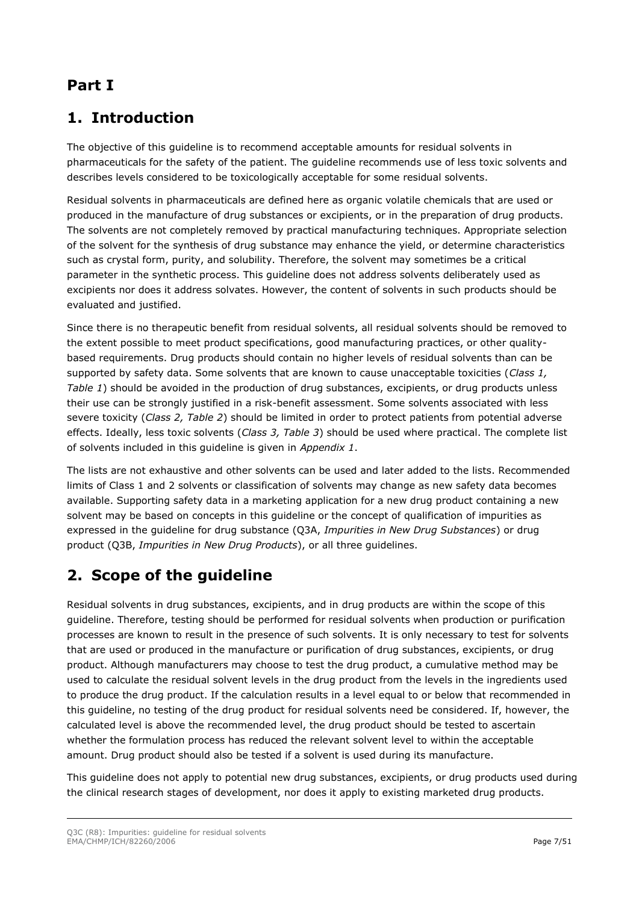# <span id="page-6-0"></span>**Part I**

# <span id="page-6-1"></span>**1. Introduction**

The objective of this guideline is to recommend acceptable amounts for residual solvents in pharmaceuticals for the safety of the patient. The guideline recommends use of less toxic solvents and describes levels considered to be toxicologically acceptable for some residual solvents.

Residual solvents in pharmaceuticals are defined here as organic volatile chemicals that are used or produced in the manufacture of drug substances or excipients, or in the preparation of drug products. The solvents are not completely removed by practical manufacturing techniques. Appropriate selection of the solvent for the synthesis of drug substance may enhance the yield, or determine characteristics such as crystal form, purity, and solubility. Therefore, the solvent may sometimes be a critical parameter in the synthetic process. This guideline does not address solvents deliberately used as excipients nor does it address solvates. However, the content of solvents in such products should be evaluated and justified.

Since there is no therapeutic benefit from residual solvents, all residual solvents should be removed to the extent possible to meet product specifications, good manufacturing practices, or other qualitybased requirements. Drug products should contain no higher levels of residual solvents than can be supported by safety data. Some solvents that are known to cause unacceptable toxicities (*Class 1, Table 1*) should be avoided in the production of drug substances, excipients, or drug products unless their use can be strongly justified in a risk-benefit assessment. Some solvents associated with less severe toxicity (*Class 2, Table 2*) should be limited in order to protect patients from potential adverse effects. Ideally, less toxic solvents (*Class 3, Table 3*) should be used where practical. The complete list of solvents included in this guideline is given in *Appendix 1*.

The lists are not exhaustive and other solvents can be used and later added to the lists. Recommended limits of Class 1 and 2 solvents or classification of solvents may change as new safety data becomes available. Supporting safety data in a marketing application for a new drug product containing a new solvent may be based on concepts in this guideline or the concept of qualification of impurities as expressed in the guideline for drug substance (Q3A, *Impurities in New Drug Substances*) or drug product (Q3B, *Impurities in New Drug Products*), or all three guidelines.

# <span id="page-6-2"></span>**2. Scope of the guideline**

Residual solvents in drug substances, excipients, and in drug products are within the scope of this guideline. Therefore, testing should be performed for residual solvents when production or purification processes are known to result in the presence of such solvents. It is only necessary to test for solvents that are used or produced in the manufacture or purification of drug substances, excipients, or drug product. Although manufacturers may choose to test the drug product, a cumulative method may be used to calculate the residual solvent levels in the drug product from the levels in the ingredients used to produce the drug product. If the calculation results in a level equal to or below that recommended in this guideline, no testing of the drug product for residual solvents need be considered. If, however, the calculated level is above the recommended level, the drug product should be tested to ascertain whether the formulation process has reduced the relevant solvent level to within the acceptable amount. Drug product should also be tested if a solvent is used during its manufacture.

This guideline does not apply to potential new drug substances, excipients, or drug products used during the clinical research stages of development, nor does it apply to existing marketed drug products.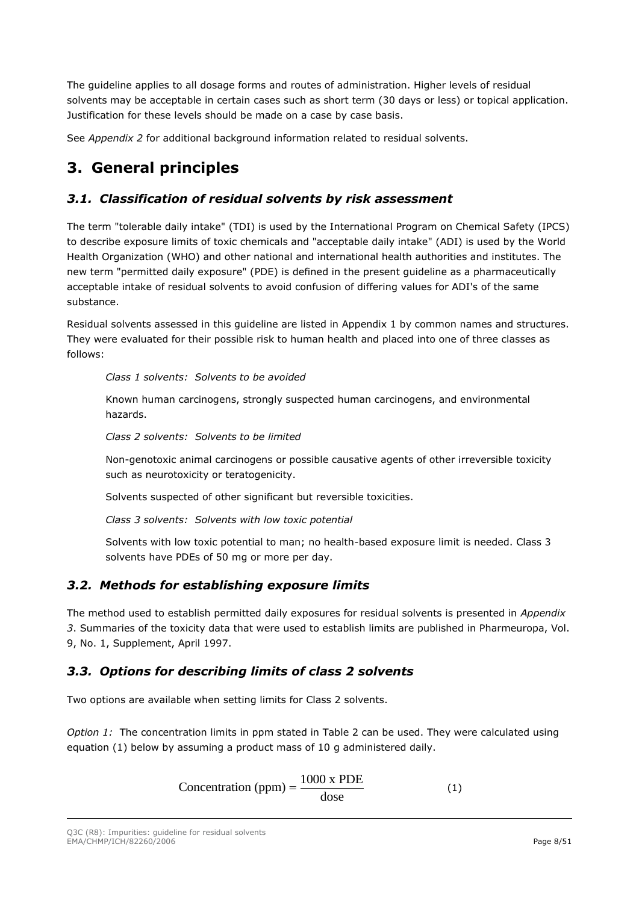The guideline applies to all dosage forms and routes of administration. Higher levels of residual solvents may be acceptable in certain cases such as short term (30 days or less) or topical application. Justification for these levels should be made on a case by case basis.

See *Appendix 2* for additional background information related to residual solvents.

# <span id="page-7-0"></span>**3. General principles**

## <span id="page-7-1"></span>*3.1. Classification of residual solvents by risk assessment*

The term "tolerable daily intake" (TDI) is used by the International Program on Chemical Safety (IPCS) to describe exposure limits of toxic chemicals and "acceptable daily intake" (ADI) is used by the World Health Organization (WHO) and other national and international health authorities and institutes. The new term "permitted daily exposure" (PDE) is defined in the present guideline as a pharmaceutically acceptable intake of residual solvents to avoid confusion of differing values for ADI's of the same substance.

Residual solvents assessed in this guideline are listed in Appendix 1 by common names and structures. They were evaluated for their possible risk to human health and placed into one of three classes as follows:

*Class 1 solvents: Solvents to be avoided*

Known human carcinogens, strongly suspected human carcinogens, and environmental hazards.

*Class 2 solvents: Solvents to be limited*

Non-genotoxic animal carcinogens or possible causative agents of other irreversible toxicity such as neurotoxicity or teratogenicity.

Solvents suspected of other significant but reversible toxicities.

*Class 3 solvents: Solvents with low toxic potential*

Solvents with low toxic potential to man; no health-based exposure limit is needed. Class 3 solvents have PDEs of 50 mg or more per day.

# <span id="page-7-2"></span>*3.2. Methods for establishing exposure limits*

The method used to establish permitted daily exposures for residual solvents is presented in *Appendix 3*. Summaries of the toxicity data that were used to establish limits are published in Pharmeuropa, Vol. 9, No. 1, Supplement, April 1997.

# <span id="page-7-3"></span>*3.3. Options for describing limits of class 2 solvents*

Two options are available when setting limits for Class 2 solvents.

*Option 1:* The concentration limits in ppm stated in Table 2 can be used. They were calculated using equation (1) below by assuming a product mass of 10 g administered daily.

> Concentration (ppm) =  $\frac{1000 \text{ x PDE}}{1}$ dose = (1)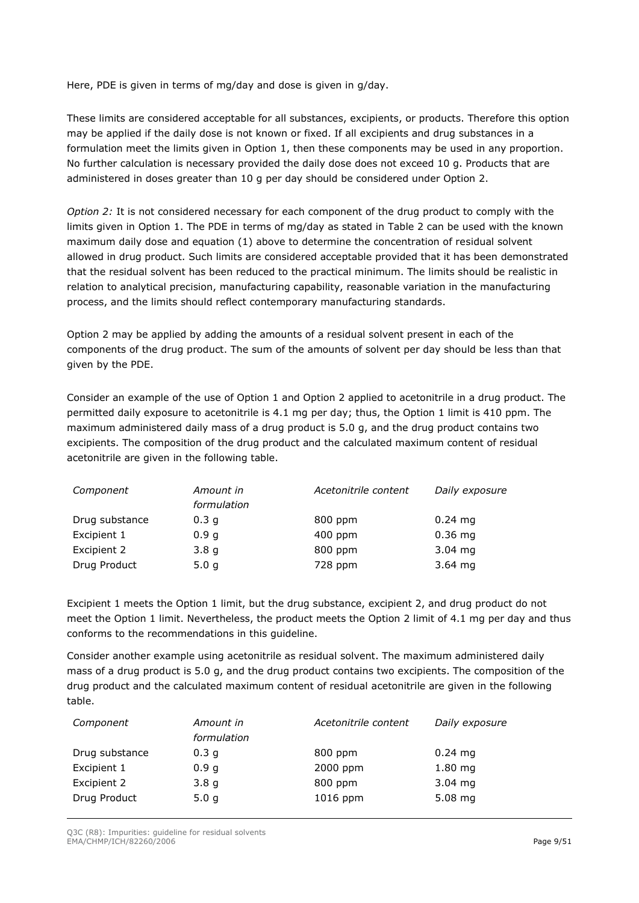Here, PDE is given in terms of mg/day and dose is given in g/day.

These limits are considered acceptable for all substances, excipients, or products. Therefore this option may be applied if the daily dose is not known or fixed. If all excipients and drug substances in a formulation meet the limits given in Option 1, then these components may be used in any proportion. No further calculation is necessary provided the daily dose does not exceed 10 g. Products that are administered in doses greater than 10 g per day should be considered under Option 2.

*Option 2:* It is not considered necessary for each component of the drug product to comply with the limits given in Option 1. The PDE in terms of mg/day as stated in Table 2 can be used with the known maximum daily dose and equation (1) above to determine the concentration of residual solvent allowed in drug product. Such limits are considered acceptable provided that it has been demonstrated that the residual solvent has been reduced to the practical minimum. The limits should be realistic in relation to analytical precision, manufacturing capability, reasonable variation in the manufacturing process, and the limits should reflect contemporary manufacturing standards.

Option 2 may be applied by adding the amounts of a residual solvent present in each of the components of the drug product. The sum of the amounts of solvent per day should be less than that given by the PDE.

Consider an example of the use of Option 1 and Option 2 applied to acetonitrile in a drug product. The permitted daily exposure to acetonitrile is 4.1 mg per day; thus, the Option 1 limit is 410 ppm. The maximum administered daily mass of a drug product is 5.0 g, and the drug product contains two excipients. The composition of the drug product and the calculated maximum content of residual acetonitrile are given in the following table.

| Component      | Amount in        | Acetonitrile content | Daily exposure      |
|----------------|------------------|----------------------|---------------------|
|                | formulation      |                      |                     |
| Drug substance | 0.3 <sub>q</sub> | 800 ppm              | $0.24 \, \text{mg}$ |
| Excipient 1    | 0.9 <sub>g</sub> | 400 ppm              | $0.36$ mg           |
| Excipient 2    | 3.8 <sub>g</sub> | 800 ppm              | $3.04$ mg           |
| Drug Product   | 5.0 <sub>g</sub> | 728 ppm              | $3.64$ mg           |

Excipient 1 meets the Option 1 limit, but the drug substance, excipient 2, and drug product do not meet the Option 1 limit. Nevertheless, the product meets the Option 2 limit of 4.1 mg per day and thus conforms to the recommendations in this guideline.

Consider another example using acetonitrile as residual solvent. The maximum administered daily mass of a drug product is 5.0 g, and the drug product contains two excipients. The composition of the drug product and the calculated maximum content of residual acetonitrile are given in the following table.

| Component      | Amount in<br>formulation | Acetonitrile content | Daily exposure      |
|----------------|--------------------------|----------------------|---------------------|
| Drug substance | 0.3 <sub>q</sub>         | 800 ppm              | $0.24 \, \text{mg}$ |
| Excipient 1    | 0.9 <sub>g</sub>         | 2000 ppm             | $1.80$ mg           |
| Excipient 2    | 3.8q                     | 800 ppm              | $3.04$ mg           |
| Drug Product   | 5.0 <sub>q</sub>         | 1016 ppm             | $5.08$ mg           |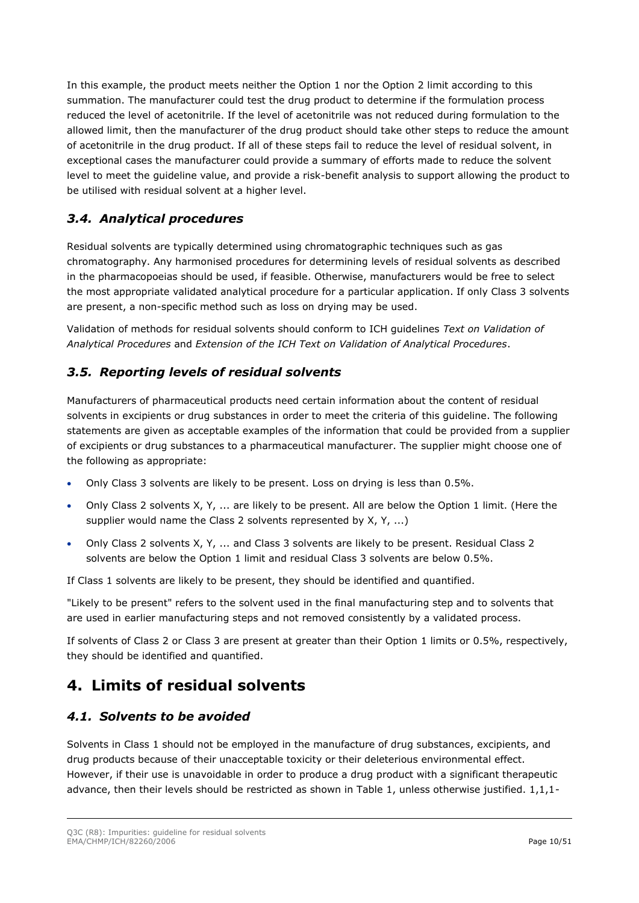In this example, the product meets neither the Option 1 nor the Option 2 limit according to this summation. The manufacturer could test the drug product to determine if the formulation process reduced the level of acetonitrile. If the level of acetonitrile was not reduced during formulation to the allowed limit, then the manufacturer of the drug product should take other steps to reduce the amount of acetonitrile in the drug product. If all of these steps fail to reduce the level of residual solvent, in exceptional cases the manufacturer could provide a summary of efforts made to reduce the solvent level to meet the guideline value, and provide a risk-benefit analysis to support allowing the product to be utilised with residual solvent at a higher level.

# <span id="page-9-0"></span>*3.4. Analytical procedures*

Residual solvents are typically determined using chromatographic techniques such as gas chromatography. Any harmonised procedures for determining levels of residual solvents as described in the pharmacopoeias should be used, if feasible. Otherwise, manufacturers would be free to select the most appropriate validated analytical procedure for a particular application. If only Class 3 solvents are present, a non-specific method such as loss on drying may be used.

Validation of methods for residual solvents should conform to ICH guidelines *Text on Validation of Analytical Procedures* and *Extension of the ICH Text on Validation of Analytical Procedures*.

# <span id="page-9-1"></span>*3.5. Reporting levels of residual solvents*

Manufacturers of pharmaceutical products need certain information about the content of residual solvents in excipients or drug substances in order to meet the criteria of this guideline. The following statements are given as acceptable examples of the information that could be provided from a supplier of excipients or drug substances to a pharmaceutical manufacturer. The supplier might choose one of the following as appropriate:

- Only Class 3 solvents are likely to be present. Loss on drying is less than 0.5%.
- Only Class 2 solvents X, Y, ... are likely to be present. All are below the Option 1 limit. (Here the supplier would name the Class 2 solvents represented by X, Y, ...)
- Only Class 2 solvents X, Y, ... and Class 3 solvents are likely to be present. Residual Class 2 solvents are below the Option 1 limit and residual Class 3 solvents are below 0.5%.

If Class 1 solvents are likely to be present, they should be identified and quantified.

"Likely to be present" refers to the solvent used in the final manufacturing step and to solvents that are used in earlier manufacturing steps and not removed consistently by a validated process.

If solvents of Class 2 or Class 3 are present at greater than their Option 1 limits or 0.5%, respectively, they should be identified and quantified.

# <span id="page-9-2"></span>**4. Limits of residual solvents**

### <span id="page-9-3"></span>*4.1. Solvents to be avoided*

Solvents in Class 1 should not be employed in the manufacture of drug substances, excipients, and drug products because of their unacceptable toxicity or their deleterious environmental effect. However, if their use is unavoidable in order to produce a drug product with a significant therapeutic advance, then their levels should be restricted as shown in Table 1, unless otherwise justified. 1,1,1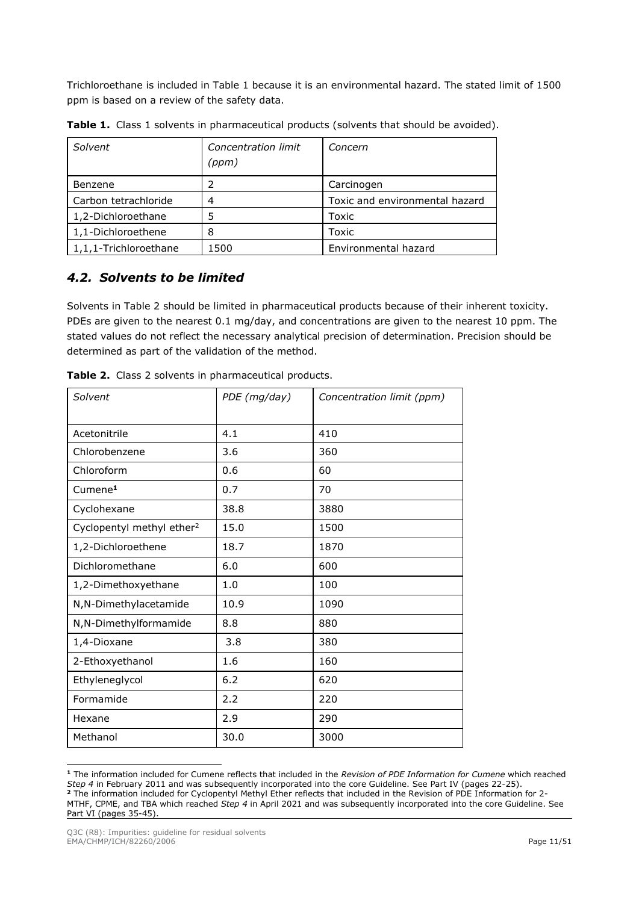Trichloroethane is included in Table 1 because it is an environmental hazard. The stated limit of 1500 ppm is based on a review of the safety data.

| Solvent               | Concentration limit<br>(ppm) | Concern                        |
|-----------------------|------------------------------|--------------------------------|
| Benzene               |                              | Carcinogen                     |
| Carbon tetrachloride  | 4                            | Toxic and environmental hazard |
| 1,2-Dichloroethane    | 5                            | Toxic                          |
| 1,1-Dichloroethene    | 8                            | Toxic                          |
| 1,1,1-Trichloroethane | 1500                         | Environmental hazard           |

**Table 1.** Class 1 solvents in pharmaceutical products (solvents that should be avoided).

## <span id="page-10-0"></span>*4.2. Solvents to be limited*

Solvents in Table 2 should be limited in pharmaceutical products because of their inherent toxicity. PDEs are given to the nearest 0.1 mg/day, and concentrations are given to the nearest 10 ppm. The stated values do not reflect the necessary analytical precision of determination. Precision should be determined as part of the validation of the method.

| Solvent                               | PDE (mg/day) | Concentration limit (ppm) |
|---------------------------------------|--------------|---------------------------|
| Acetonitrile                          | 4.1          | 410                       |
| Chlorobenzene                         | 3.6          | 360                       |
| Chloroform                            | 0.6          | 60                        |
| Cumene <sup>1</sup>                   | 0.7          | 70                        |
| Cyclohexane                           | 38.8         | 3880                      |
| Cyclopentyl methyl ether <sup>2</sup> | 15.0         | 1500                      |
| 1,2-Dichloroethene                    | 18.7         | 1870                      |
| Dichloromethane                       | 6.0          | 600                       |
| 1,2-Dimethoxyethane                   | 1.0          | 100                       |
| N,N-Dimethylacetamide                 | 10.9         | 1090                      |
| N,N-Dimethylformamide                 | 8.8          | 880                       |
| 1,4-Dioxane                           | 3.8          | 380                       |
| 2-Ethoxyethanol                       | 1.6          | 160                       |
| Ethyleneglycol                        | 6.2          | 620                       |
| Formamide                             | 2.2          | 220                       |
| Hexane                                | 2.9          | 290                       |
| Methanol                              | 30.0         | 3000                      |

**Table 2.** Class 2 solvents in pharmaceutical products.

**<sup>1</sup>** The information included for Cumene reflects that included in the *Revision of PDE Information for Cumene* which reached *Step 4* in February 2011 and was subsequently incorporated into the core Guideline. See Part IV (pages 22-25). **<sup>2</sup>** The information included for Cyclopentyl Methyl Ether reflects that included in the Revision of PDE Information for 2- MTHF, CPME, and TBA which reached *Step 4* in April 2021 and was subsequently incorporated into the core Guideline. See Part VI (pages 35-45).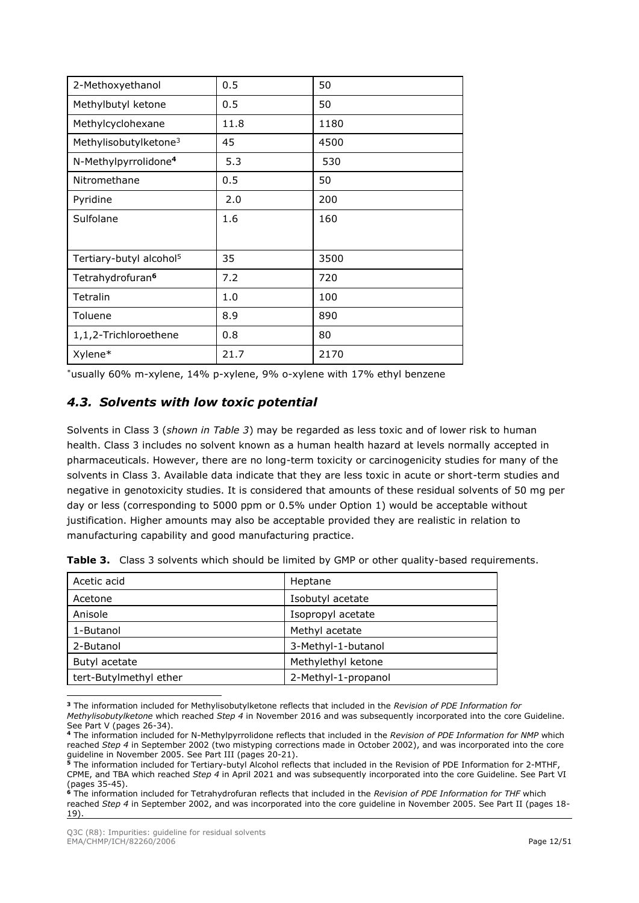| 2-Methoxyethanol                    | 0.5  | 50   |
|-------------------------------------|------|------|
| Methylbutyl ketone                  | 0.5  | 50   |
| Methylcyclohexane                   | 11.8 | 1180 |
| Methylisobutylketone <sup>3</sup>   | 45   | 4500 |
| N-Methylpyrrolidone <sup>4</sup>    | 5.3  | 530  |
| Nitromethane                        | 0.5  | 50   |
| Pyridine                            | 2.0  | 200  |
| Sulfolane                           | 1.6  | 160  |
|                                     |      |      |
| Tertiary-butyl alcohol <sup>5</sup> | 35   | 3500 |
| Tetrahydrofuran <sup>6</sup>        | 7.2  | 720  |
| Tetralin                            | 1.0  | 100  |
| Toluene                             | 8.9  | 890  |
| 1,1,2-Trichloroethene               | 0.8  | 80   |
| Xylene*                             | 21.7 | 2170 |

\*usually 60% m-xylene, 14% p-xylene, 9% o-xylene with 17% ethyl benzene

## <span id="page-11-0"></span>*4.3. Solvents with low toxic potential*

Solvents in Class 3 (*shown in Table 3*) may be regarded as less toxic and of lower risk to human health. Class 3 includes no solvent known as a human health hazard at levels normally accepted in pharmaceuticals. However, there are no long-term toxicity or carcinogenicity studies for many of the solvents in Class 3. Available data indicate that they are less toxic in acute or short-term studies and negative in genotoxicity studies. It is considered that amounts of these residual solvents of 50 mg per day or less (corresponding to 5000 ppm or 0.5% under Option 1) would be acceptable without justification. Higher amounts may also be acceptable provided they are realistic in relation to manufacturing capability and good manufacturing practice.

| Acetic acid            | Heptane             |
|------------------------|---------------------|
| Acetone                | Isobutyl acetate    |
| Anisole                | Isopropyl acetate   |
| 1-Butanol              | Methyl acetate      |
| 2-Butanol              | 3-Methyl-1-butanol  |
| Butyl acetate          | Methylethyl ketone  |
| tert-Butylmethyl ether | 2-Methyl-1-propanol |

**Table 3.** Class 3 solvents which should be limited by GMP or other quality-based requirements.

**<sup>3</sup>** The information included for Methylisobutylketone reflects that included in the *Revision of PDE Information for Methylisobutylketone* which reached *Step 4* in November 2016 and was subsequently incorporated into the core Guideline. See Part V (pages 26-34).

**<sup>4</sup>** The information included for N-Methylpyrrolidone reflects that included in the *Revision of PDE Information for NMP* which reached *Step 4* in September 2002 (two mistyping corrections made in October 2002), and was incorporated into the core guideline in November 2005. See Part III (pages 20-21).

**<sup>5</sup>** The information included for Tertiary-butyl Alcohol reflects that included in the Revision of PDE Information for 2-MTHF, CPME, and TBA which reached *Step 4* in April 2021 and was subsequently incorporated into the core Guideline. See Part VI (pages 35-45).

**<sup>6</sup>** The information included for Tetrahydrofuran reflects that included in the *Revision of PDE Information for THF* which reached *Step 4* in September 2002, and was incorporated into the core guideline in November 2005. See Part II (pages 18- 19).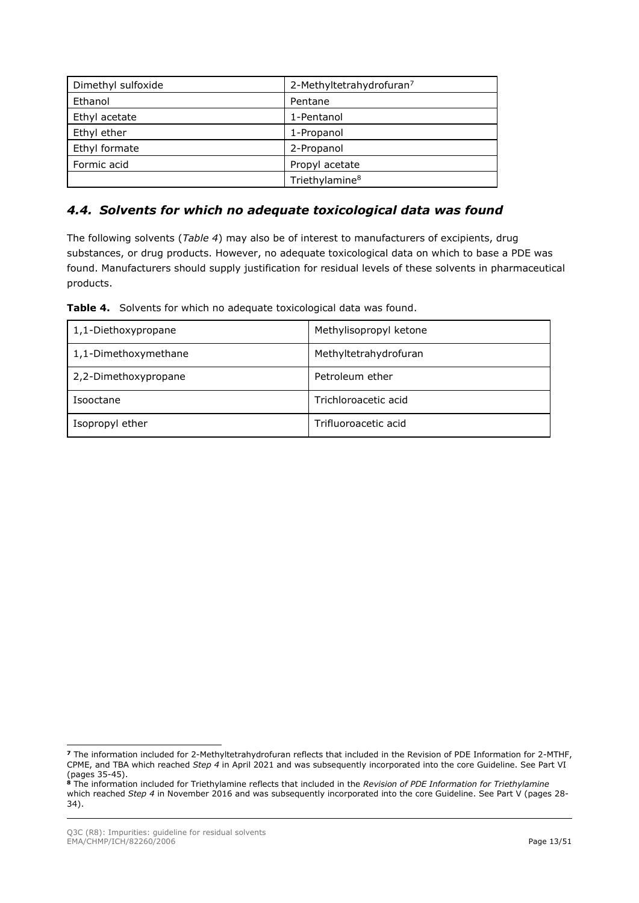| Dimethyl sulfoxide | 2-Methyltetrahydrofuran <sup>7</sup> |
|--------------------|--------------------------------------|
| Ethanol            | Pentane                              |
| Ethyl acetate      | 1-Pentanol                           |
| Ethyl ether        | 1-Propanol                           |
| Ethyl formate      | 2-Propanol                           |
| Formic acid        | Propyl acetate                       |
|                    | Triethylamine <sup>8</sup>           |

## <span id="page-12-0"></span>*4.4. Solvents for which no adequate toxicological data was found*

The following solvents (*Table 4*) may also be of interest to manufacturers of excipients, drug substances, or drug products. However, no adequate toxicological data on which to base a PDE was found. Manufacturers should supply justification for residual levels of these solvents in pharmaceutical products.

| Table 4. Solvents for which no adequate toxicological data was found. |  |  |
|-----------------------------------------------------------------------|--|--|
|                                                                       |  |  |

| 1,1-Diethoxypropane  | Methylisopropyl ketone |
|----------------------|------------------------|
| 1,1-Dimethoxymethane | Methyltetrahydrofuran  |
| 2,2-Dimethoxypropane | Petroleum ether        |
| Isooctane            | Trichloroacetic acid   |
| Isopropyl ether      | Trifluoroacetic acid   |

**<sup>7</sup>** The information included for 2-Methyltetrahydrofuran reflects that included in the Revision of PDE Information for 2-MTHF, CPME, and TBA which reached *Step 4* in April 2021 and was subsequently incorporated into the core Guideline. See Part VI (pages 35-45).

**<sup>8</sup>** The information included for Triethylamine reflects that included in the *Revision of PDE Information for Triethylamine* which reached *Step 4* in November 2016 and was subsequently incorporated into the core Guideline. See Part V (pages 28- 34).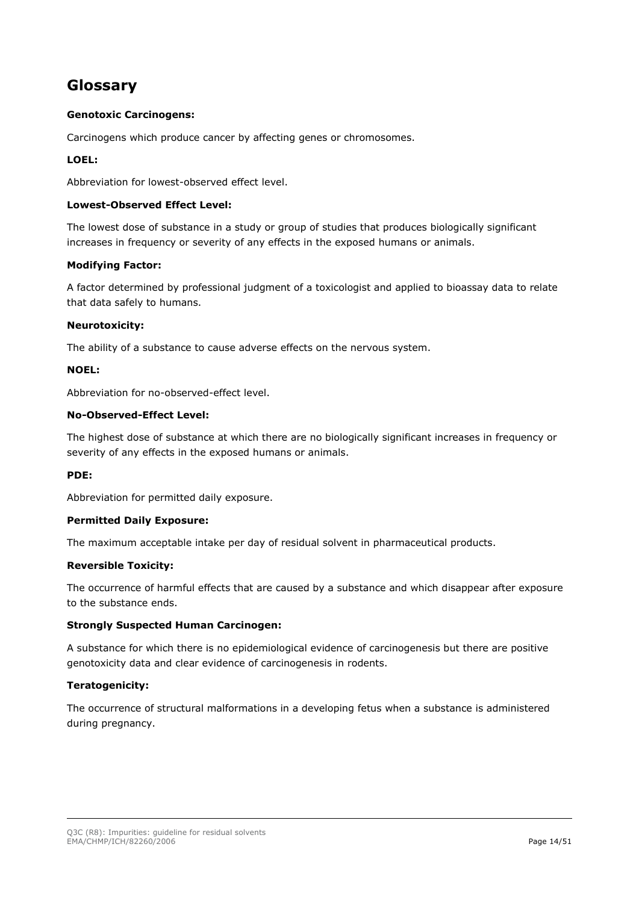# <span id="page-13-0"></span>**Glossary**

#### **Genotoxic Carcinogens:**

Carcinogens which produce cancer by affecting genes or chromosomes.

#### **LOEL:**

Abbreviation for lowest-observed effect level.

#### **Lowest-Observed Effect Level:**

The lowest dose of substance in a study or group of studies that produces biologically significant increases in frequency or severity of any effects in the exposed humans or animals.

#### **Modifying Factor:**

A factor determined by professional judgment of a toxicologist and applied to bioassay data to relate that data safely to humans.

#### **Neurotoxicity:**

The ability of a substance to cause adverse effects on the nervous system.

#### **NOEL:**

Abbreviation for no-observed-effect level.

#### **No-Observed-Effect Level:**

The highest dose of substance at which there are no biologically significant increases in frequency or severity of any effects in the exposed humans or animals.

#### **PDE:**

Abbreviation for permitted daily exposure.

#### **Permitted Daily Exposure:**

The maximum acceptable intake per day of residual solvent in pharmaceutical products.

#### **Reversible Toxicity:**

The occurrence of harmful effects that are caused by a substance and which disappear after exposure to the substance ends.

#### **Strongly Suspected Human Carcinogen:**

A substance for which there is no epidemiological evidence of carcinogenesis but there are positive genotoxicity data and clear evidence of carcinogenesis in rodents.

#### **Teratogenicity:**

The occurrence of structural malformations in a developing fetus when a substance is administered during pregnancy.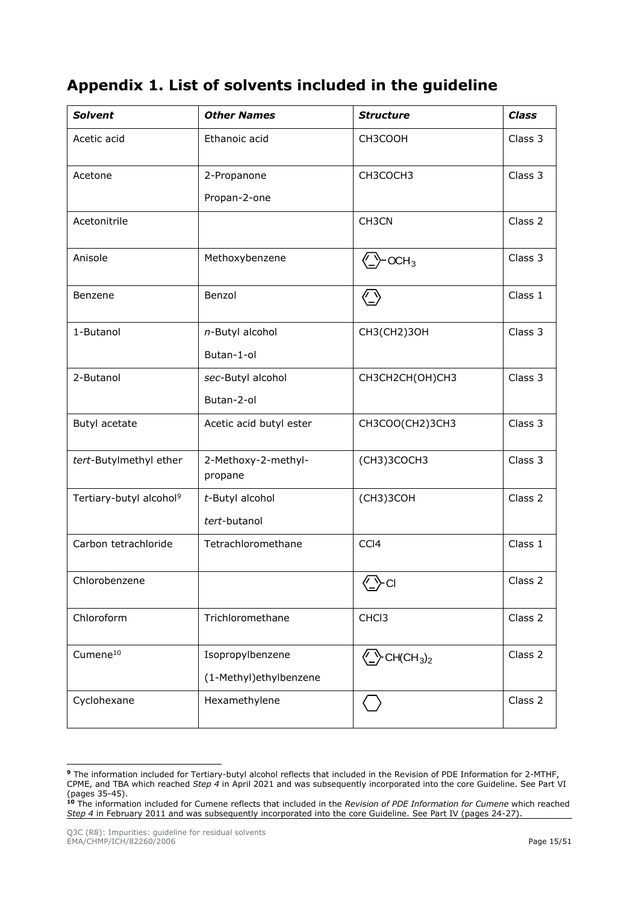# <span id="page-14-0"></span>**Appendix 1. List of solvents included in the guideline**

| <b>Solvent</b>                      | <b>Other Names</b>             | <b>Structure</b>                                                            | <b>Class</b> |
|-------------------------------------|--------------------------------|-----------------------------------------------------------------------------|--------------|
| Acetic acid                         | Ethanoic acid                  | CH3COOH                                                                     | Class 3      |
| Acetone                             | 2-Propanone                    | CH3COCH3                                                                    | Class 3      |
|                                     | Propan-2-one                   |                                                                             |              |
| Acetonitrile                        |                                | CH3CN                                                                       | Class 2      |
| Anisole                             | Methoxybenzene                 | OCH <sub>3</sub>                                                            | Class 3      |
| Benzene                             | Benzol                         | $\langle \_)$                                                               | Class 1      |
| 1-Butanol                           | n-Butyl alcohol                | CH3(CH2)30H                                                                 | Class 3      |
|                                     | Butan-1-ol                     |                                                                             |              |
| 2-Butanol                           | sec-Butyl alcohol              | CH3CH2CH(OH)CH3                                                             | Class 3      |
|                                     | Butan-2-ol                     |                                                                             |              |
| Butyl acetate                       | Acetic acid butyl ester        | CH3COO(CH2)3CH3                                                             | Class 3      |
| tert-Butylmethyl ether              | 2-Methoxy-2-methyl-<br>propane | (CH3)3COCH3                                                                 | Class 3      |
| Tertiary-butyl alcohol <sup>9</sup> | t-Butyl alcohol                | (CH3)3COH                                                                   | Class 2      |
|                                     | tert-butanol                   |                                                                             |              |
| Carbon tetrachloride                | Tetrachloromethane             | CCI4                                                                        | Class 1      |
| Chlorobenzene                       |                                | $\bigodot$ cı                                                               | Class 2      |
| Chloroform                          | Trichloromethane               | CHC <sub>13</sub>                                                           | Class 2      |
| $C$ umene $^{10}$                   | Isopropylbenzene               | $\langle \underline{\phantom{a}} \rangle$ CH(CH <sub>3</sub> ) <sub>2</sub> | Class 2      |
|                                     | (1-Methyl)ethylbenzene         |                                                                             |              |
| Cyclohexane                         | Hexamethylene                  |                                                                             | Class 2      |

**<sup>9</sup>** The information included for Tertiary-butyl alcohol reflects that included in the Revision of PDE Information for 2-MTHF, CPME, and TBA which reached *Step 4* in April 2021 and was subsequently incorporated into the core Guideline. See Part VI (pages 35-45).

**<sup>10</sup>** The information included for Cumene reflects that included in the *Revision of PDE Information for Cumene* which reached *Step 4* in February 2011 and was subsequently incorporated into the core Guideline. See Part IV (pages 24-27).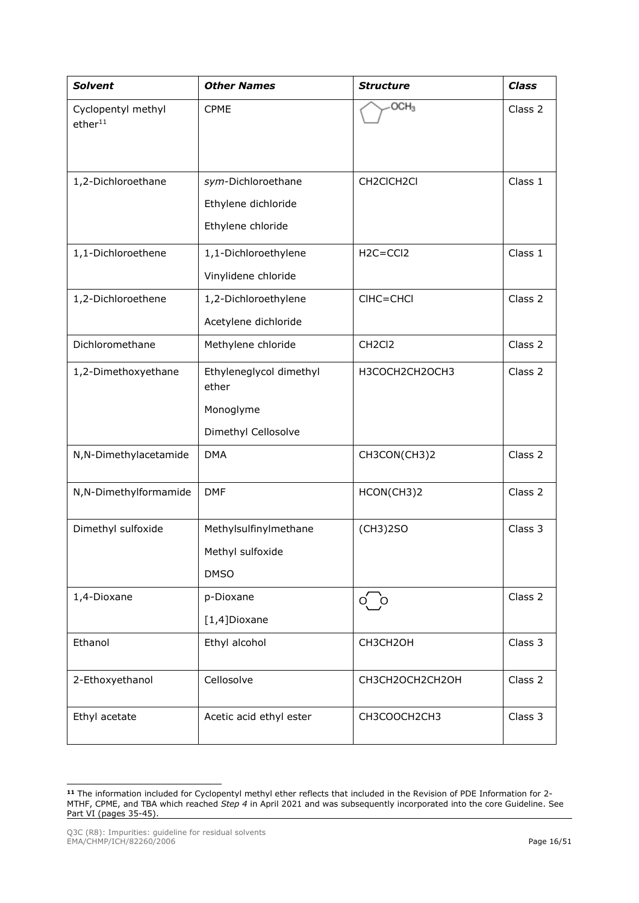| <b>Solvent</b>                            | <b>Other Names</b>               | <b>Structure</b>                | <b>Class</b> |
|-------------------------------------------|----------------------------------|---------------------------------|--------------|
| Cyclopentyl methyl<br>ether <sup>11</sup> | <b>CPME</b>                      | OCH <sub>3</sub>                | Class 2      |
| 1,2-Dichloroethane                        | sym-Dichloroethane               | CH2CICH2CI                      | Class 1      |
|                                           | Ethylene dichloride              |                                 |              |
|                                           | Ethylene chloride                |                                 |              |
| 1,1-Dichloroethene                        | 1,1-Dichloroethylene             | $H2C = CCl2$                    | Class 1      |
|                                           | Vinylidene chloride              |                                 |              |
| 1,2-Dichloroethene                        | 1,2-Dichloroethylene             | CIHC=CHCI                       | Class 2      |
|                                           | Acetylene dichloride             |                                 |              |
| Dichloromethane                           | Methylene chloride               | CH <sub>2</sub> Cl <sub>2</sub> | Class 2      |
| 1,2-Dimethoxyethane                       | Ethyleneglycol dimethyl<br>ether | H3COCH2CH2OCH3                  | Class 2      |
|                                           | Monoglyme                        |                                 |              |
|                                           | Dimethyl Cellosolve              |                                 |              |
| N,N-Dimethylacetamide                     | <b>DMA</b>                       | CH3CON(CH3)2                    | Class 2      |
| N,N-Dimethylformamide                     | <b>DMF</b>                       | HCON(CH3)2                      | Class 2      |
| Dimethyl sulfoxide                        | Methylsulfinylmethane            | (CH3)2SO                        | Class 3      |
|                                           | Methyl sulfoxide                 |                                 |              |
|                                           | <b>DMSO</b>                      |                                 |              |
| 1,4-Dioxane                               | p-Dioxane                        | $\circ$ $\circ$                 | Class 2      |
|                                           | [1,4]Dioxane                     |                                 |              |
| Ethanol                                   | Ethyl alcohol                    | CH3CH2OH                        | Class 3      |
| 2-Ethoxyethanol                           | Cellosolve                       | CH3CH2OCH2CH2OH                 | Class 2      |
| Ethyl acetate                             | Acetic acid ethyl ester          | CH3COOCH2CH3                    | Class 3      |

**<sup>11</sup>** The information included for Cyclopentyl methyl ether reflects that included in the Revision of PDE Information for 2- MTHF, CPME, and TBA which reached *Step 4* in April 2021 and was subsequently incorporated into the core Guideline. See Part VI (pages 35-45).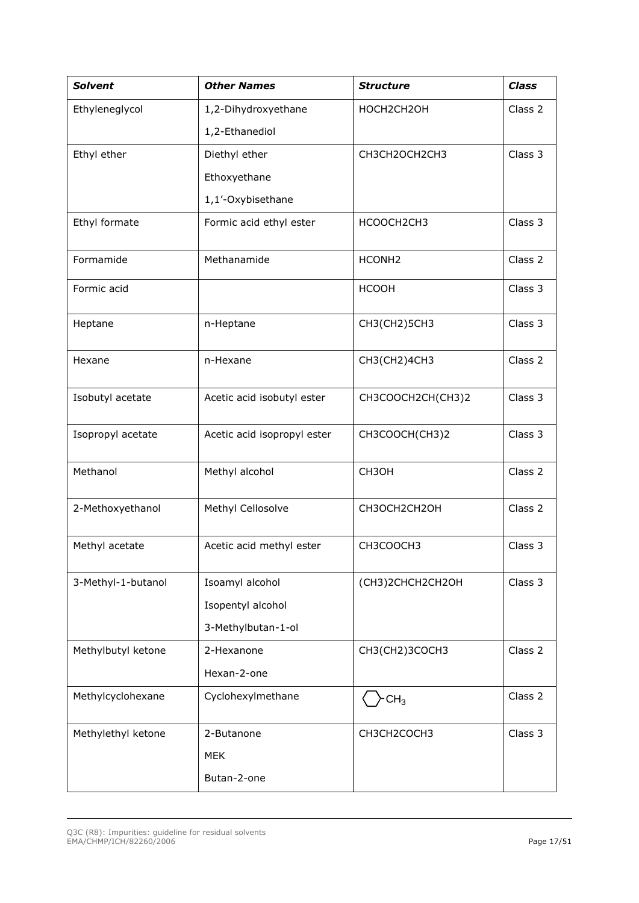| <b>Solvent</b>     | <b>Other Names</b>          | <b>Structure</b>   | <b>Class</b> |
|--------------------|-----------------------------|--------------------|--------------|
| Ethyleneglycol     | 1,2-Dihydroxyethane         | HOCH2CH2OH         | Class 2      |
|                    | 1,2-Ethanediol              |                    |              |
| Ethyl ether        | Diethyl ether               | CH3CH2OCH2CH3      | Class 3      |
|                    | Ethoxyethane                |                    |              |
|                    | 1,1'-Oxybisethane           |                    |              |
| Ethyl formate      | Formic acid ethyl ester     | HCOOCH2CH3         | Class 3      |
| Formamide          | Methanamide                 | HCONH <sub>2</sub> | Class 2      |
| Formic acid        |                             | <b>HCOOH</b>       | Class 3      |
| Heptane            | n-Heptane                   | CH3(CH2)5CH3       | Class 3      |
| Hexane             | n-Hexane                    | CH3(CH2)4CH3       | Class 2      |
| Isobutyl acetate   | Acetic acid isobutyl ester  | CH3COOCH2CH(CH3)2  | Class 3      |
| Isopropyl acetate  | Acetic acid isopropyl ester | CH3COOCH(CH3)2     | Class 3      |
| Methanol           | Methyl alcohol              | CH3OH              | Class 2      |
| 2-Methoxyethanol   | Methyl Cellosolve           | CH3OCH2CH2OH       | Class 2      |
| Methyl acetate     | Acetic acid methyl ester    | CH3COOCH3          | Class 3      |
| 3-Methyl-1-butanol | Isoamyl alcohol             | (CH3)2CHCH2CH2OH   | Class 3      |
|                    | Isopentyl alcohol           |                    |              |
|                    | 3-Methylbutan-1-ol          |                    |              |
| Methylbutyl ketone | 2-Hexanone                  | CH3(CH2)3COCH3     | Class 2      |
|                    | Hexan-2-one                 |                    |              |
| Methylcyclohexane  | Cyclohexylmethane           | CH <sub>3</sub>    | Class 2      |
| Methylethyl ketone | 2-Butanone                  | CH3CH2COCH3        | Class 3      |
|                    | <b>MEK</b>                  |                    |              |
|                    | Butan-2-one                 |                    |              |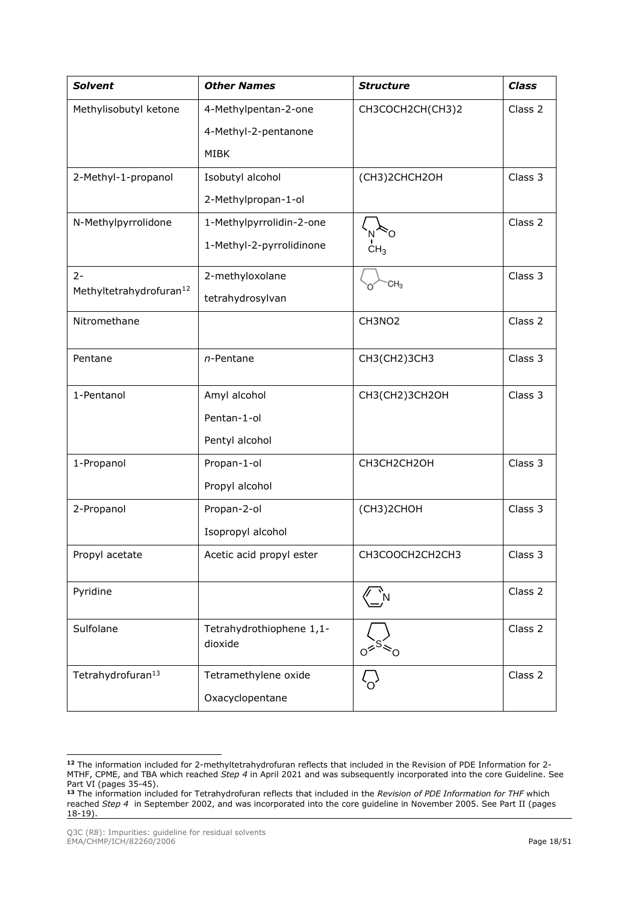| <b>Solvent</b>                      | <b>Other Names</b>                  | <b>Structure</b>                       | <b>Class</b> |
|-------------------------------------|-------------------------------------|----------------------------------------|--------------|
| Methylisobutyl ketone               | 4-Methylpentan-2-one                | CH3COCH2CH(CH3)2                       | Class 2      |
|                                     | 4-Methyl-2-pentanone                |                                        |              |
|                                     | <b>MIBK</b>                         |                                        |              |
| 2-Methyl-1-propanol                 | Isobutyl alcohol                    | (CH3)2CHCH2OH                          | Class 3      |
|                                     | 2-Methylpropan-1-ol                 |                                        |              |
| N-Methylpyrrolidone                 | 1-Methylpyrrolidin-2-one            | N <sup>∕</sup> ⊘                       | Class 2      |
|                                     | 1-Methyl-2-pyrrolidinone            | CH <sub>3</sub>                        |              |
| $2 -$                               | 2-methyloxolane                     | CH <sub>3</sub>                        | Class 3      |
| Methyltetrahydrofuran <sup>12</sup> | tetrahydrosylvan                    |                                        |              |
| Nitromethane                        |                                     | CH3NO <sub>2</sub>                     | Class 2      |
| Pentane                             | $n$ -Pentane                        | CH3(CH2)3CH3                           | Class 3      |
| 1-Pentanol                          | Amyl alcohol                        | CH3(CH2)3CH2OH                         | Class 3      |
|                                     | Pentan-1-ol                         |                                        |              |
|                                     | Pentyl alcohol                      |                                        |              |
| 1-Propanol                          | Propan-1-ol                         | CH3CH2CH2OH                            | Class 3      |
|                                     | Propyl alcohol                      |                                        |              |
| 2-Propanol                          | Propan-2-ol                         | (CH3)2CHOH                             | Class 3      |
|                                     | Isopropyl alcohol                   |                                        |              |
| Propyl acetate                      | Acetic acid propyl ester            | CH3COOCH2CH2CH3                        | Class 3      |
| Pyridine                            |                                     |                                        | Class 2      |
| Sulfolane                           | Tetrahydrothiophene 1,1-<br>dioxide | $\frac{1}{2}$ S $\approx$ <sub>O</sub> | Class 2      |
| Tetrahydrofuran <sup>13</sup>       | Tetramethylene oxide                |                                        | Class 2      |
|                                     | Oxacyclopentane                     |                                        |              |

**<sup>12</sup>** The information included for 2-methyltetrahydrofuran reflects that included in the Revision of PDE Information for 2- MTHF, CPME, and TBA which reached *Step 4* in April 2021 and was subsequently incorporated into the core Guideline. See Part VI (pages 35-45).

**<sup>13</sup>** The information included for Tetrahydrofuran reflects that included in the *Revision of PDE Information for THF* which reached *Step 4* in September 2002, and was incorporated into the core guideline in November 2005. See Part II (pages 18-19).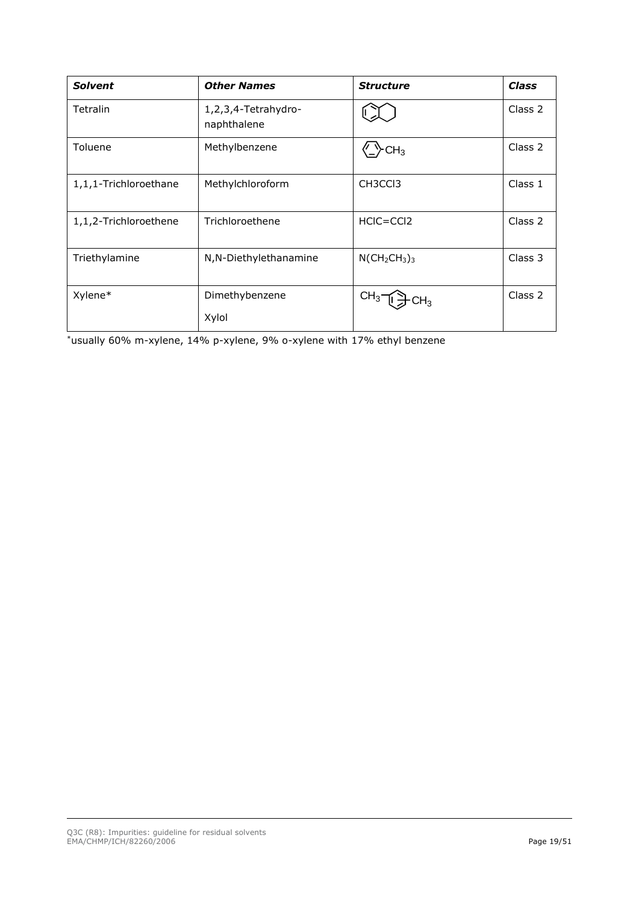| <b>Solvent</b>        | <b>Other Names</b>                 | <b>Structure</b>    | Class   |
|-----------------------|------------------------------------|---------------------|---------|
| Tetralin              | 1,2,3,4-Tetrahydro-<br>naphthalene |                     | Class 2 |
| Toluene               | Methylbenzene                      | CH <sub>3</sub>     | Class 2 |
| 1,1,1-Trichloroethane | Methylchloroform                   | CH3CC <sub>13</sub> | Class 1 |
| 1,1,2-Trichloroethene | Trichloroethene                    | $HClC = CCl2$       | Class 2 |
| Triethylamine         | N, N-Diethylethanamine             | $N(CH_2CH_3)_3$     | Class 3 |
| Xylene*               | Dimethybenzene                     | CH <sub>3</sub>     | Class 2 |
|                       | Xylol                              |                     |         |

\*usually 60% m-xylene, 14% p-xylene, 9% o-xylene with 17% ethyl benzene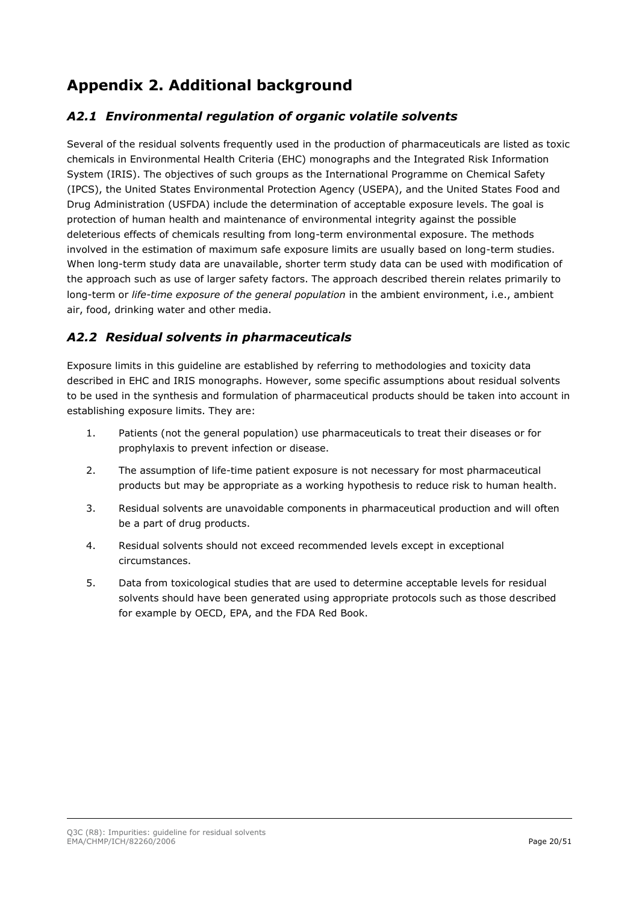# <span id="page-19-0"></span>**Appendix 2. Additional background**

### <span id="page-19-1"></span>*A2.1 Environmental regulation of organic volatile solvents*

Several of the residual solvents frequently used in the production of pharmaceuticals are listed as toxic chemicals in Environmental Health Criteria (EHC) monographs and the Integrated Risk Information System (IRIS). The objectives of such groups as the International Programme on Chemical Safety (IPCS), the United States Environmental Protection Agency (USEPA), and the United States Food and Drug Administration (USFDA) include the determination of acceptable exposure levels. The goal is protection of human health and maintenance of environmental integrity against the possible deleterious effects of chemicals resulting from long-term environmental exposure. The methods involved in the estimation of maximum safe exposure limits are usually based on long-term studies. When long-term study data are unavailable, shorter term study data can be used with modification of the approach such as use of larger safety factors. The approach described therein relates primarily to long-term or *life-time exposure of the general population* in the ambient environment, i.e., ambient air, food, drinking water and other media.

# <span id="page-19-2"></span>*A2.2 Residual solvents in pharmaceuticals*

Exposure limits in this guideline are established by referring to methodologies and toxicity data described in EHC and IRIS monographs. However, some specific assumptions about residual solvents to be used in the synthesis and formulation of pharmaceutical products should be taken into account in establishing exposure limits. They are:

- 1. Patients (not the general population) use pharmaceuticals to treat their diseases or for prophylaxis to prevent infection or disease.
- 2. The assumption of life-time patient exposure is not necessary for most pharmaceutical products but may be appropriate as a working hypothesis to reduce risk to human health.
- 3. Residual solvents are unavoidable components in pharmaceutical production and will often be a part of drug products.
- 4. Residual solvents should not exceed recommended levels except in exceptional circumstances.
- 5. Data from toxicological studies that are used to determine acceptable levels for residual solvents should have been generated using appropriate protocols such as those described for example by OECD, EPA, and the FDA Red Book.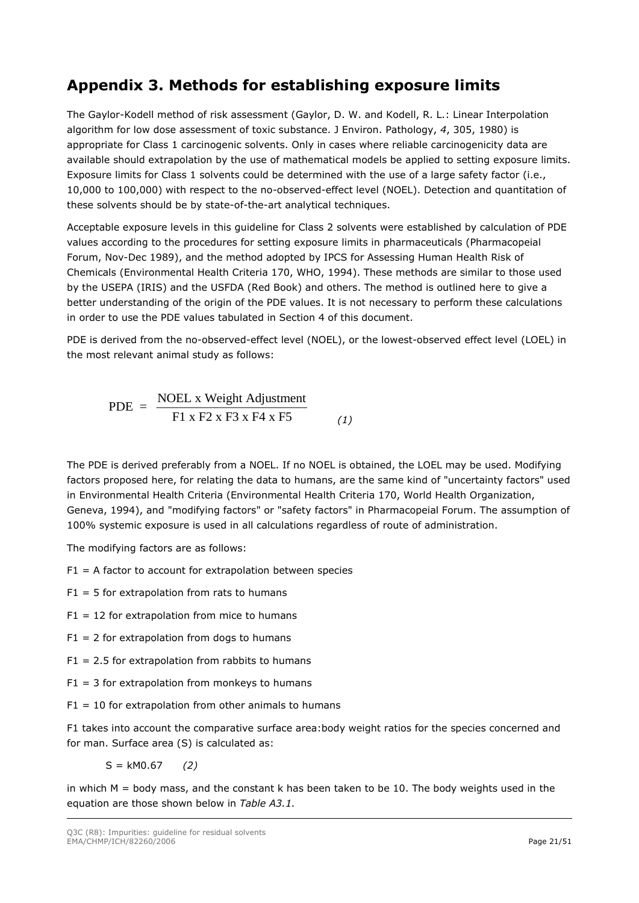# <span id="page-20-0"></span>**Appendix 3. Methods for establishing exposure limits**

The Gaylor-Kodell method of risk assessment (Gaylor, D. W. and Kodell, R. L.: Linear Interpolation algorithm for low dose assessment of toxic substance. J Environ. Pathology, *4*, 305, 1980) is appropriate for Class 1 carcinogenic solvents. Only in cases where reliable carcinogenicity data are available should extrapolation by the use of mathematical models be applied to setting exposure limits. Exposure limits for Class 1 solvents could be determined with the use of a large safety factor (i.e., 10,000 to 100,000) with respect to the no-observed-effect level (NOEL). Detection and quantitation of these solvents should be by state-of-the-art analytical techniques.

Acceptable exposure levels in this guideline for Class 2 solvents were established by calculation of PDE values according to the procedures for setting exposure limits in pharmaceuticals (Pharmacopeial Forum, Nov-Dec 1989), and the method adopted by IPCS for Assessing Human Health Risk of Chemicals (Environmental Health Criteria 170, WHO, 1994). These methods are similar to those used by the USEPA (IRIS) and the USFDA (Red Book) and others. The method is outlined here to give a better understanding of the origin of the PDE values. It is not necessary to perform these calculations in order to use the PDE values tabulated in Section 4 of this document.

PDE is derived from the no-observed-effect level (NOEL), or the lowest-observed effect level (LOEL) in the most relevant animal study as follows:

$$
PDE = \frac{\text{NOEL x Weight Adjustment}}{\text{F1 x F2 x F3 x F4 x F5}}
$$
 (1)

The PDE is derived preferably from a NOEL. If no NOEL is obtained, the LOEL may be used. Modifying factors proposed here, for relating the data to humans, are the same kind of "uncertainty factors" used in Environmental Health Criteria (Environmental Health Criteria 170, World Health Organization, Geneva, 1994), and "modifying factors" or "safety factors" in Pharmacopeial Forum. The assumption of 100% systemic exposure is used in all calculations regardless of route of administration.

The modifying factors are as follows:

- $F1 = A$  factor to account for extrapolation between species
- $F1 = 5$  for extrapolation from rats to humans
- $F1 = 12$  for extrapolation from mice to humans
- $F1 = 2$  for extrapolation from dogs to humans
- $F1 = 2.5$  for extrapolation from rabbits to humans
- $F1 = 3$  for extrapolation from monkeys to humans
- $F1 = 10$  for extrapolation from other animals to humans

F1 takes into account the comparative surface area:body weight ratios for the species concerned and for man. Surface area (S) is calculated as:

S = kM0.67 *(2)*

in which M = body mass, and the constant k has been taken to be 10. The body weights used in the equation are those shown below in *Table A3.1.*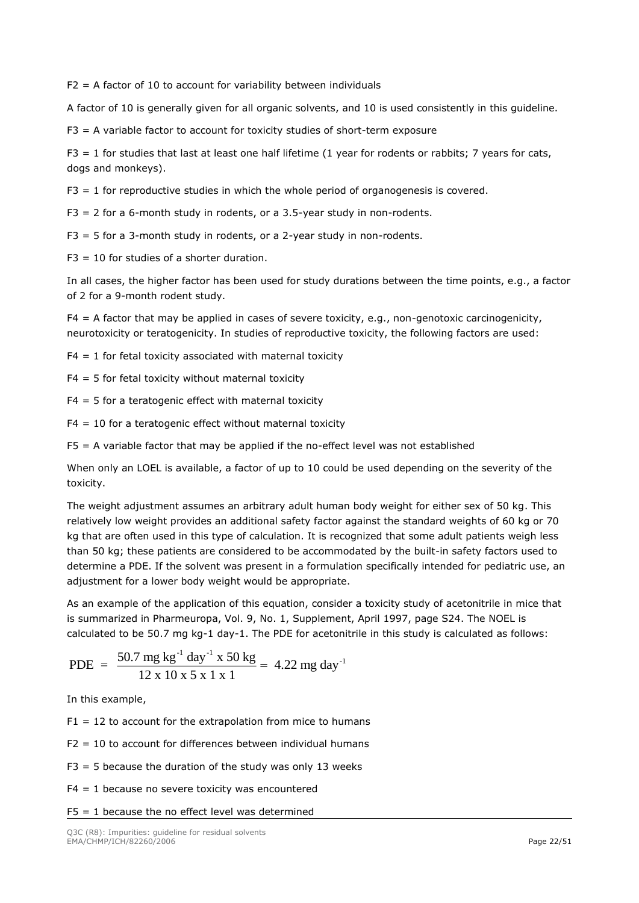$F2 = A$  factor of 10 to account for variability between individuals

A factor of 10 is generally given for all organic solvents, and 10 is used consistently in this guideline.

F3 = A variable factor to account for toxicity studies of short-term exposure

 $F3 = 1$  for studies that last at least one half lifetime (1 year for rodents or rabbits; 7 years for cats, dogs and monkeys).

F3 = 1 for reproductive studies in which the whole period of organogenesis is covered.

 $F3 = 2$  for a 6-month study in rodents, or a 3.5-year study in non-rodents.

 $F3 = 5$  for a 3-month study in rodents, or a 2-year study in non-rodents.

 $F3 = 10$  for studies of a shorter duration.

In all cases, the higher factor has been used for study durations between the time points, e.g., a factor of 2 for a 9-month rodent study.

F4 = A factor that may be applied in cases of severe toxicity, e.g., non-genotoxic carcinogenicity, neurotoxicity or teratogenicity. In studies of reproductive toxicity, the following factors are used:

 $F4 = 1$  for fetal toxicity associated with maternal toxicity

 $F4 = 5$  for fetal toxicity without maternal toxicity

 $F4 = 5$  for a teratogenic effect with maternal toxicity

 $F4 = 10$  for a teratogenic effect without maternal toxicity

 $FS = A$  variable factor that may be applied if the no-effect level was not established

When only an LOEL is available, a factor of up to 10 could be used depending on the severity of the toxicity.

The weight adjustment assumes an arbitrary adult human body weight for either sex of 50 kg. This relatively low weight provides an additional safety factor against the standard weights of 60 kg or 70 kg that are often used in this type of calculation. It is recognized that some adult patients weigh less than 50 kg; these patients are considered to be accommodated by the built-in safety factors used to determine a PDE. If the solvent was present in a formulation specifically intended for pediatric use, an adjustment for a lower body weight would be appropriate.

As an example of the application of this equation, consider a toxicity study of acetonitrile in mice that is summarized in Pharmeuropa, Vol. 9, No. 1, Supplement, April 1997, page S24. The NOEL is calculated to be 50.7 mg kg-1 day-1. The PDE for acetonitrile in this study is calculated as follows:

PDE = 
$$
\frac{50.7 \text{ mg kg}^{-1} \text{ day}^{-1} \times 50 \text{ kg}}{12 \times 10 \times 5 \times 1 \times 1} = 4.22 \text{ mg day}^{-1}
$$

In this example,

 $F1 = 12$  to account for the extrapolation from mice to humans

 $F2 = 10$  to account for differences between individual humans

- $F3 = 5$  because the duration of the study was only 13 weeks
- $F4 = 1$  because no severe toxicity was encountered
- $F5 = 1$  because the no effect level was determined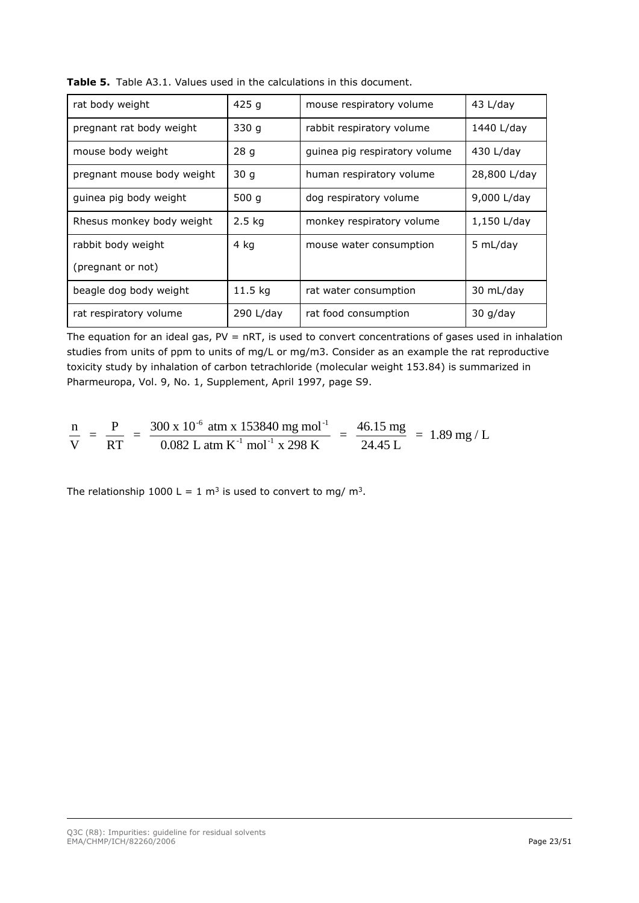| rat body weight            | 425q      | mouse respiratory volume      | 43 L/day     |
|----------------------------|-----------|-------------------------------|--------------|
| pregnant rat body weight   | 330q      | rabbit respiratory volume     | 1440 L/day   |
| mouse body weight          | 28q       | guinea pig respiratory volume | 430 L/day    |
| pregnant mouse body weight | 30q       | human respiratory volume      | 28,800 L/day |
| guinea pig body weight     | 500 $q$   | dog respiratory volume        | 9,000 L/day  |
| Rhesus monkey body weight  | $2.5$ kg  | monkey respiratory volume     | 1,150 L/day  |
| rabbit body weight         | 4 kg      | mouse water consumption       | 5 mL/day     |
| (pregnant or not)          |           |                               |              |
| beagle dog body weight     | $11.5$ kg | rat water consumption         | 30 mL/day    |
| rat respiratory volume     | 290 L/day | rat food consumption          | $30$ g/day   |

**Table 5.** Table A3.1. Values used in the calculations in this document.

The equation for an ideal gas,  $PV = nRT$ , is used to convert concentrations of gases used in inhalation studies from units of ppm to units of mg/L or mg/m3. Consider as an example the rat reproductive toxicity study by inhalation of carbon tetrachloride (molecular weight 153.84) is summarized in Pharmeuropa, Vol. 9, No. 1, Supplement, April 1997, page S9.

$$
\frac{n}{V} = \frac{P}{RT} = \frac{300 \times 10^{-6} \text{ atm} \times 153840 \text{ mg mol}^{-1}}{0.082 \text{ L atm K}^{-1} \text{ mol}^{-1} \times 298 \text{ K}} = \frac{46.15 \text{ mg}}{24.45 \text{ L}} = 1.89 \text{ mg/L}
$$

The relationship 1000 L = 1  $\text{m}^3$  is used to convert to mg/  $\text{m}^3$ .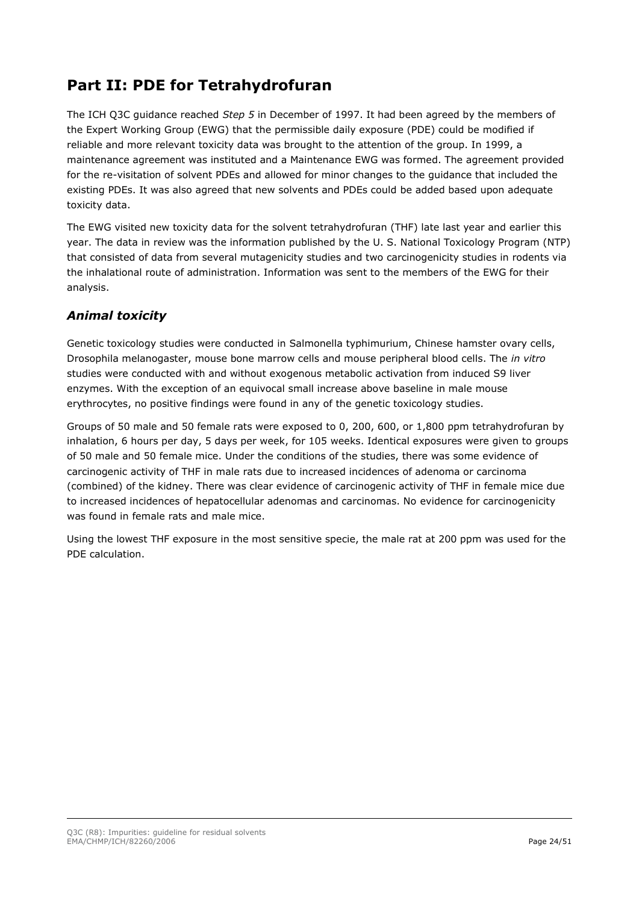# <span id="page-23-0"></span>**Part II: PDE for Tetrahydrofuran**

The ICH Q3C guidance reached *Step 5* in December of 1997. It had been agreed by the members of the Expert Working Group (EWG) that the permissible daily exposure (PDE) could be modified if reliable and more relevant toxicity data was brought to the attention of the group. In 1999, a maintenance agreement was instituted and a Maintenance EWG was formed. The agreement provided for the re-visitation of solvent PDEs and allowed for minor changes to the guidance that included the existing PDEs. It was also agreed that new solvents and PDEs could be added based upon adequate toxicity data.

The EWG visited new toxicity data for the solvent tetrahydrofuran (THF) late last year and earlier this year. The data in review was the information published by the U. S. National Toxicology Program (NTP) that consisted of data from several mutagenicity studies and two carcinogenicity studies in rodents via the inhalational route of administration. Information was sent to the members of the EWG for their analysis.

## *Animal toxicity*

Genetic toxicology studies were conducted in Salmonella typhimurium, Chinese hamster ovary cells, Drosophila melanogaster, mouse bone marrow cells and mouse peripheral blood cells. The *in vitro*  studies were conducted with and without exogenous metabolic activation from induced S9 liver enzymes. With the exception of an equivocal small increase above baseline in male mouse erythrocytes, no positive findings were found in any of the genetic toxicology studies.

Groups of 50 male and 50 female rats were exposed to 0, 200, 600, or 1,800 ppm tetrahydrofuran by inhalation, 6 hours per day, 5 days per week, for 105 weeks. Identical exposures were given to groups of 50 male and 50 female mice. Under the conditions of the studies, there was some evidence of carcinogenic activity of THF in male rats due to increased incidences of adenoma or carcinoma (combined) of the kidney. There was clear evidence of carcinogenic activity of THF in female mice due to increased incidences of hepatocellular adenomas and carcinomas. No evidence for carcinogenicity was found in female rats and male mice.

Using the lowest THF exposure in the most sensitive specie, the male rat at 200 ppm was used for the PDE calculation.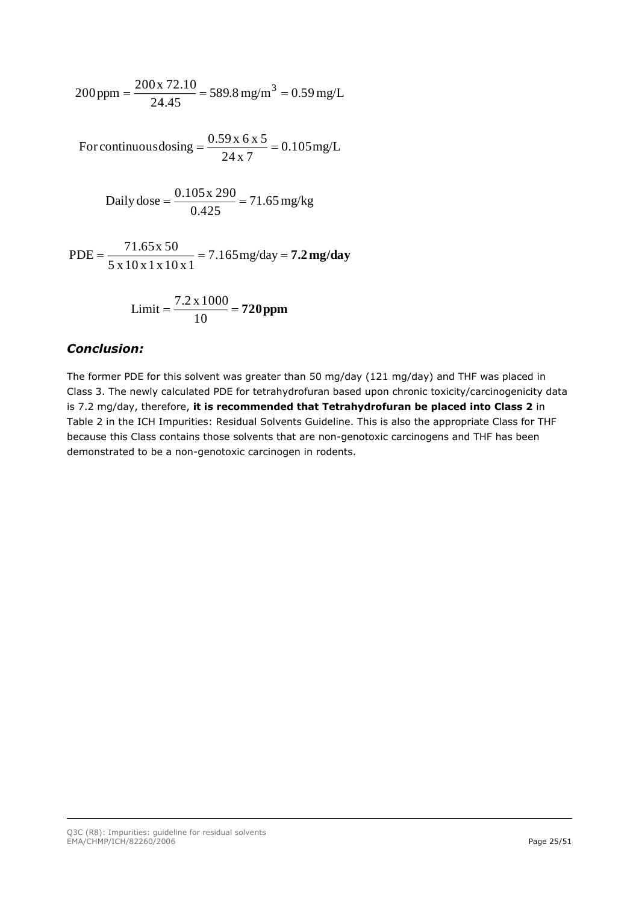$$
200 \text{ ppm} = \frac{200 \text{ x } 72.10}{24.45} = 589.8 \text{ mg/m}^3 = 0.59 \text{ mg/L}
$$

 $=\frac{3.69 \text{ m/s} \cdot \text{m}}{24 \text{ x } 7} = 0.105 \text{ mg/L}$ For continuous dosing  $=$   $\frac{0.59 \times 6 \times 5}{0.6 \times 10^{-4}}$ 

Daily dose = 
$$
\frac{0.105 \times 290}{0.425} = 71.65 \text{ mg/kg}
$$

PDE = 
$$
\frac{71.65 \text{ x } 50}{5 \text{ x } 10 \text{ x } 1 \text{ x } 10 \text{ x } 1} = 7.165 \text{ mg/day} = 7.2 \text{ mg/day}
$$

Limit = 
$$
\frac{7.2 \times 1000}{10} = 720 \text{ ppm}
$$

#### *Conclusion:*

The former PDE for this solvent was greater than 50 mg/day (121 mg/day) and THF was placed in Class 3. The newly calculated PDE for tetrahydrofuran based upon chronic toxicity/carcinogenicity data is 7.2 mg/day, therefore, **it is recommended that Tetrahydrofuran be placed into Class 2** in Table 2 in the ICH Impurities: Residual Solvents Guideline. This is also the appropriate Class for THF because this Class contains those solvents that are non-genotoxic carcinogens and THF has been demonstrated to be a non-genotoxic carcinogen in rodents.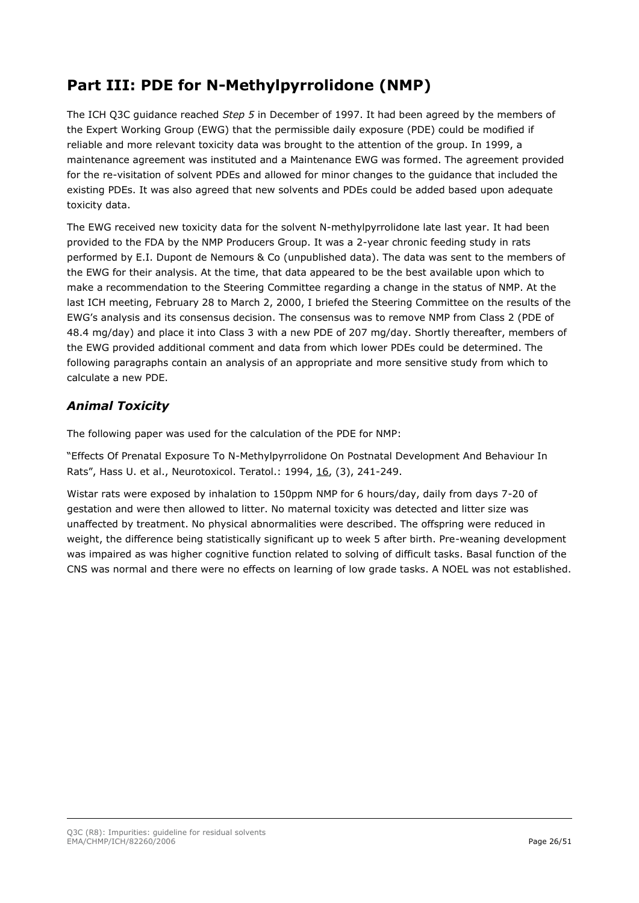# <span id="page-25-0"></span>**Part III: PDE for N-Methylpyrrolidone (NMP)**

The ICH Q3C guidance reached *Step 5* in December of 1997. It had been agreed by the members of the Expert Working Group (EWG) that the permissible daily exposure (PDE) could be modified if reliable and more relevant toxicity data was brought to the attention of the group. In 1999, a maintenance agreement was instituted and a Maintenance EWG was formed. The agreement provided for the re-visitation of solvent PDEs and allowed for minor changes to the guidance that included the existing PDEs. It was also agreed that new solvents and PDEs could be added based upon adequate toxicity data.

The EWG received new toxicity data for the solvent N-methylpyrrolidone late last year. It had been provided to the FDA by the NMP Producers Group. It was a 2-year chronic feeding study in rats performed by E.I. Dupont de Nemours & Co (unpublished data). The data was sent to the members of the EWG for their analysis. At the time, that data appeared to be the best available upon which to make a recommendation to the Steering Committee regarding a change in the status of NMP. At the last ICH meeting, February 28 to March 2, 2000, I briefed the Steering Committee on the results of the EWG's analysis and its consensus decision. The consensus was to remove NMP from Class 2 (PDE of 48.4 mg/day) and place it into Class 3 with a new PDE of 207 mg/day. Shortly thereafter, members of the EWG provided additional comment and data from which lower PDEs could be determined. The following paragraphs contain an analysis of an appropriate and more sensitive study from which to calculate a new PDE.

# *Animal Toxicity*

The following paper was used for the calculation of the PDE for NMP:

"Effects Of Prenatal Exposure To N-Methylpyrrolidone On Postnatal Development And Behaviour In Rats", Hass U. et al., Neurotoxicol. Teratol.: 1994, 16, (3), 241-249.

Wistar rats were exposed by inhalation to 150ppm NMP for 6 hours/day, daily from days 7-20 of gestation and were then allowed to litter. No maternal toxicity was detected and litter size was unaffected by treatment. No physical abnormalities were described. The offspring were reduced in weight, the difference being statistically significant up to week 5 after birth. Pre-weaning development was impaired as was higher cognitive function related to solving of difficult tasks. Basal function of the CNS was normal and there were no effects on learning of low grade tasks. A NOEL was not established.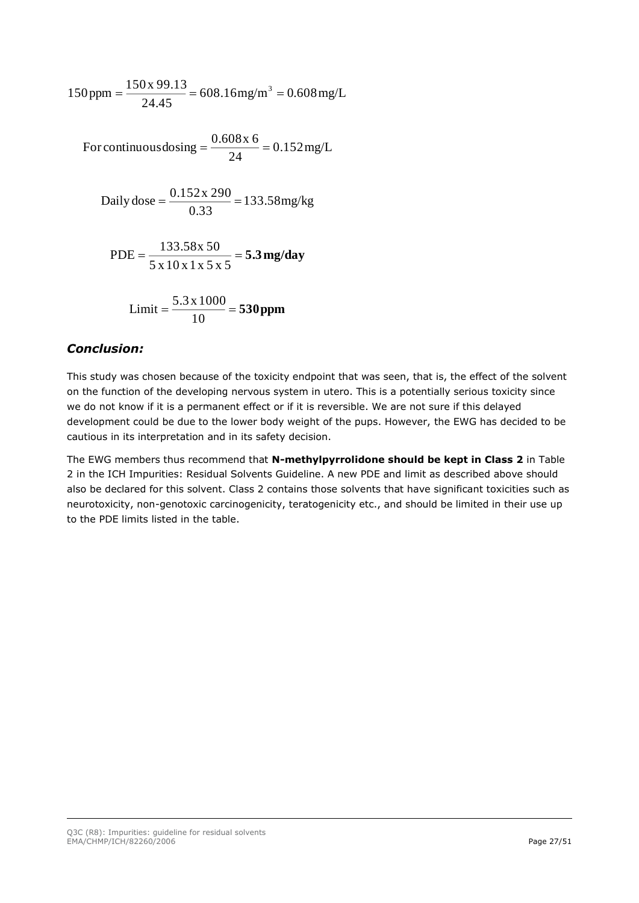$$
150 \text{ ppm} = \frac{150 \text{ x } 99.13}{24.45} = 608.16 \text{ mg/m}^3 = 0.608 \text{ mg/L}
$$

 $=\frac{3.6888 \text{ m/s}}{24}$  = 0.152 mg/L For continuous dosing  $=$   $\frac{0.608x}{0.608}$ 

Daily dose = 
$$
\frac{0.152 \times 290}{0.33} = 133.58 \text{mg/kg}
$$

PDE = 
$$
\frac{133.58 \times 50}{5 \times 10 \times 1 \times 5 \times 5} = 5.3 \text{ mg/day}
$$

Limit = 
$$
\frac{5.3 \times 1000}{10} = 530 \text{ ppm}
$$

#### *Conclusion:*

This study was chosen because of the toxicity endpoint that was seen, that is, the effect of the solvent on the function of the developing nervous system in utero. This is a potentially serious toxicity since we do not know if it is a permanent effect or if it is reversible. We are not sure if this delayed development could be due to the lower body weight of the pups. However, the EWG has decided to be cautious in its interpretation and in its safety decision.

The EWG members thus recommend that **N-methylpyrrolidone should be kept in Class 2** in Table 2 in the ICH Impurities: Residual Solvents Guideline. A new PDE and limit as described above should also be declared for this solvent. Class 2 contains those solvents that have significant toxicities such as neurotoxicity, non-genotoxic carcinogenicity, teratogenicity etc., and should be limited in their use up to the PDE limits listed in the table.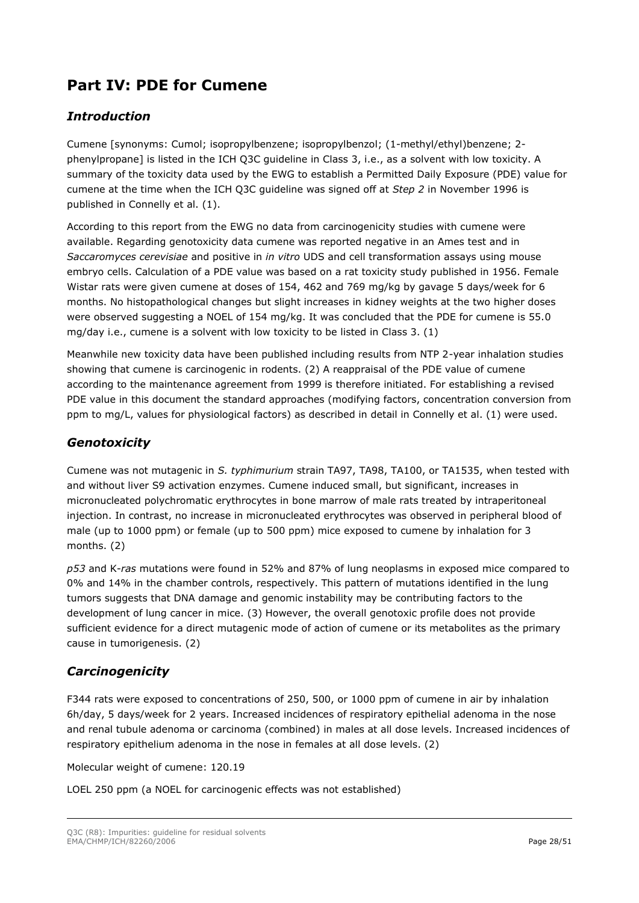# <span id="page-27-0"></span>**Part IV: PDE for Cumene**

## *Introduction*

Cumene [synonyms: Cumol; isopropylbenzene; isopropylbenzol; (1-methyl/ethyl)benzene; 2 phenylpropane] is listed in the ICH Q3C guideline in Class 3, i.e., as a solvent with low toxicity. A summary of the toxicity data used by the EWG to establish a Permitted Daily Exposure (PDE) value for cumene at the time when the ICH Q3C guideline was signed off at *Step 2* in November 1996 is published in Connelly et al. (1).

According to this report from the EWG no data from carcinogenicity studies with cumene were available. Regarding genotoxicity data cumene was reported negative in an Ames test and in *Saccaromyces cerevisiae* and positive in *in vitro* UDS and cell transformation assays using mouse embryo cells. Calculation of a PDE value was based on a rat toxicity study published in 1956. Female Wistar rats were given cumene at doses of 154, 462 and 769 mg/kg by gavage 5 days/week for 6 months. No histopathological changes but slight increases in kidney weights at the two higher doses were observed suggesting a NOEL of 154 mg/kg. It was concluded that the PDE for cumene is 55.0 mg/day i.e., cumene is a solvent with low toxicity to be listed in Class 3. (1)

Meanwhile new toxicity data have been published including results from NTP 2-year inhalation studies showing that cumene is carcinogenic in rodents. (2) A reappraisal of the PDE value of cumene according to the maintenance agreement from 1999 is therefore initiated. For establishing a revised PDE value in this document the standard approaches (modifying factors, concentration conversion from ppm to mg/L, values for physiological factors) as described in detail in Connelly et al. (1) were used.

### *Genotoxicity*

Cumene was not mutagenic in *S. typhimurium* strain TA97, TA98, TA100, or TA1535, when tested with and without liver S9 activation enzymes. Cumene induced small, but significant, increases in micronucleated polychromatic erythrocytes in bone marrow of male rats treated by intraperitoneal injection. In contrast, no increase in micronucleated erythrocytes was observed in peripheral blood of male (up to 1000 ppm) or female (up to 500 ppm) mice exposed to cumene by inhalation for 3 months. (2)

*p53* and K-*ras* mutations were found in 52% and 87% of lung neoplasms in exposed mice compared to 0% and 14% in the chamber controls, respectively. This pattern of mutations identified in the lung tumors suggests that DNA damage and genomic instability may be contributing factors to the development of lung cancer in mice. (3) However, the overall genotoxic profile does not provide sufficient evidence for a direct mutagenic mode of action of cumene or its metabolites as the primary cause in tumorigenesis. (2)

# *Carcinogenicity*

F344 rats were exposed to concentrations of 250, 500, or 1000 ppm of cumene in air by inhalation 6h/day, 5 days/week for 2 years. Increased incidences of respiratory epithelial adenoma in the nose and renal tubule adenoma or carcinoma (combined) in males at all dose levels. Increased incidences of respiratory epithelium adenoma in the nose in females at all dose levels. (2)

Molecular weight of cumene: 120.19

LOEL 250 ppm (a NOEL for carcinogenic effects was not established)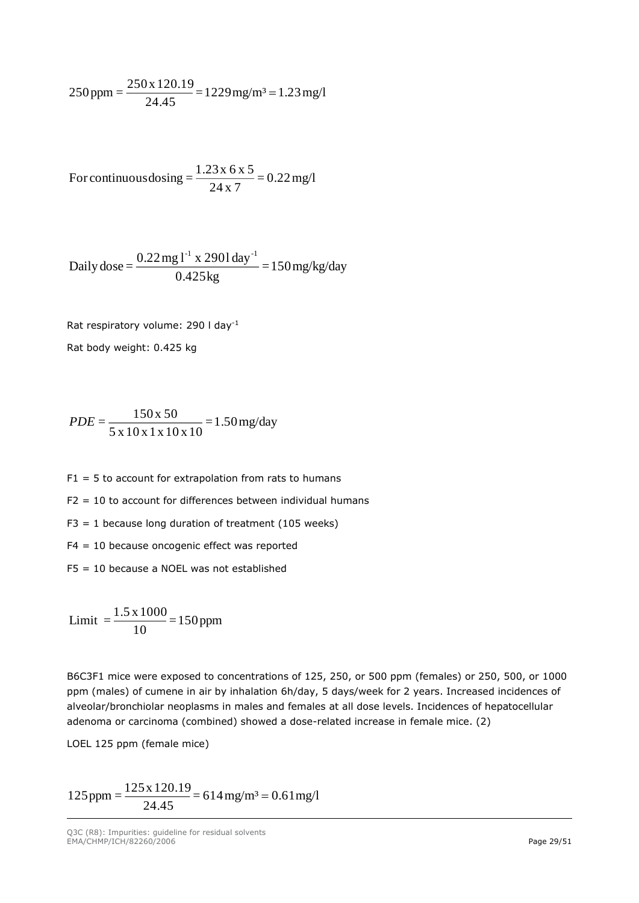$$
250 \text{ ppm} = \frac{250 \text{ x } 120.19}{24.45} = 1229 \text{ mg/m}^3 = 1.23 \text{ mg/l}
$$

For continuous  
dosing 
$$
=
$$
 
$$
\frac{1.23 \times 6 \times 5}{24 \times 7} = 0.22 \text{ mg/l}
$$

Daily dose = 
$$
\frac{0.22 \text{ mg l}^{-1} \times 2901 \text{ day}^{-1}}{0.425 \text{ kg}} = 150 \text{ mg/kg/day}
$$

Rat respiratory volume: 290 l day-1

Rat body weight: 0.425 kg

$$
PDE = \frac{150 \times 50}{5 \times 10 \times 1 \times 10 \times 10} = 1.50 \,\text{mg/day}
$$

 $F1 = 5$  to account for extrapolation from rats to humans

 $F2 = 10$  to account for differences between individual humans

 $F3 = 1$  because long duration of treatment (105 weeks)

F4 = 10 because oncogenic effect was reported

F5 = 10 because a NOEL was not established

 $\frac{11000}{10}$  = 150 ppm  $\text{Limit } = \frac{1.5 \times 1000}{1}$ 

B6C3F1 mice were exposed to concentrations of 125, 250, or 500 ppm (females) or 250, 500, or 1000 ppm (males) of cumene in air by inhalation 6h/day, 5 days/week for 2 years. Increased incidences of alveolar/bronchiolar neoplasms in males and females at all dose levels. Incidences of hepatocellular adenoma or carcinoma (combined) showed a dose-related increase in female mice. (2)

LOEL 125 ppm (female mice)

 $125 \text{ ppm} = \frac{125 \times 120.19}{24.45} = 614 \text{ mg/m}^3 = 0.61 \text{ mg/l}$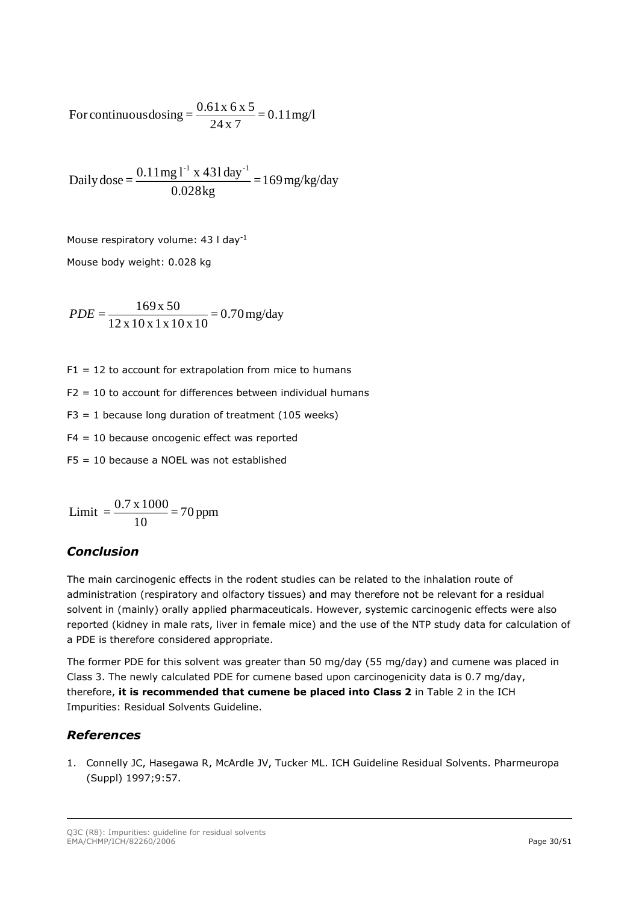For continuous  
dosing 
$$
=
$$
  $\frac{0.61x 6x 5}{24x 7} = 0.11$  mg/l

Daily dose = 
$$
\frac{0.11 \text{mg} l^{-1} \times 431 \text{day}^{-1}}{0.028 \text{kg}} = 169 \text{mg/kg/day}
$$

Mouse respiratory volume: 43 l day-1

Mouse body weight: 0.028 kg

$$
PDE = \frac{169 \times 50}{12 \times 10 \times 1 \times 10 \times 10} = 0.70 \,\text{mg/day}
$$

 $F1 = 12$  to account for extrapolation from mice to humans

 $F2 = 10$  to account for differences between individual humans

 $F3 = 1$  because long duration of treatment (105 weeks)

F4 = 10 because oncogenic effect was reported

F5 = 10 because a NOEL was not established

Limit = 
$$
\frac{0.7 \times 1000}{10}
$$
 = 70 ppm

### *Conclusion*

The main carcinogenic effects in the rodent studies can be related to the inhalation route of administration (respiratory and olfactory tissues) and may therefore not be relevant for a residual solvent in (mainly) orally applied pharmaceuticals. However, systemic carcinogenic effects were also reported (kidney in male rats, liver in female mice) and the use of the NTP study data for calculation of a PDE is therefore considered appropriate.

The former PDE for this solvent was greater than 50 mg/day (55 mg/day) and cumene was placed in Class 3. The newly calculated PDE for cumene based upon carcinogenicity data is 0.7 mg/day, therefore, **it is recommended that cumene be placed into Class 2** in Table 2 in the ICH Impurities: Residual Solvents Guideline.

### *References*

1. Connelly JC, Hasegawa R, McArdle JV, Tucker ML. ICH Guideline Residual Solvents. Pharmeuropa (Suppl) 1997;9:57.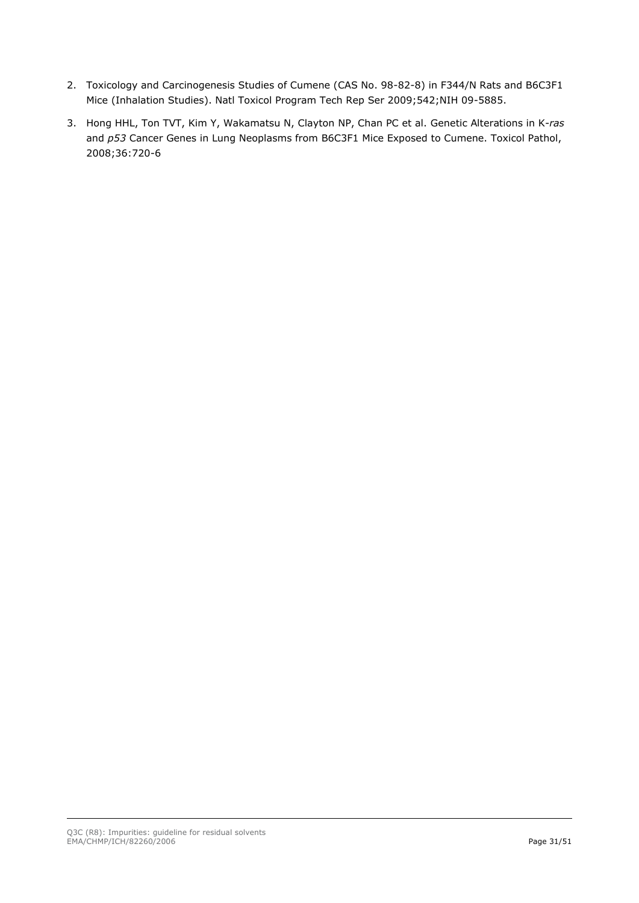- 2. Toxicology and Carcinogenesis Studies of Cumene (CAS No. 98-82-8) in F344/N Rats and B6C3F1 Mice (Inhalation Studies). Natl Toxicol Program Tech Rep Ser 2009;542;NIH 09-5885.
- 3. Hong HHL, Ton TVT, Kim Y, Wakamatsu N, Clayton NP, Chan PC et al. Genetic Alterations in K-*ras*  and *p53* Cancer Genes in Lung Neoplasms from B6C3F1 Mice Exposed to Cumene. Toxicol Pathol, 2008;36:720-6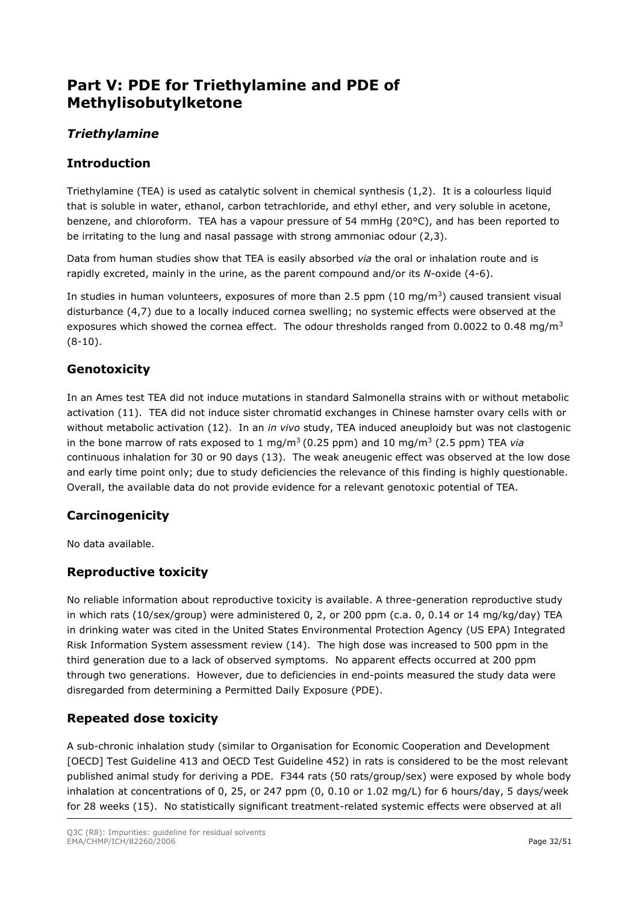# <span id="page-31-0"></span>**Part V: PDE for Triethylamine and PDE of Methylisobutylketone**

# *Triethylamine*

### **Introduction**

Triethylamine (TEA) is used as catalytic solvent in chemical synthesis (1,2). It is a colourless liquid that is soluble in water, ethanol, carbon tetrachloride, and ethyl ether, and very soluble in acetone, benzene, and chloroform. TEA has a vapour pressure of 54 mmHg (20°C), and has been reported to be irritating to the lung and nasal passage with strong ammoniac odour (2,3).

Data from human studies show that TEA is easily absorbed *via* the oral or inhalation route and is rapidly excreted, mainly in the urine, as the parent compound and/or its *N*-oxide (4-6).

In studies in human volunteers, exposures of more than 2.5 ppm  $(10 \text{ mg/m}^3)$  caused transient visual disturbance (4,7) due to a locally induced cornea swelling; no systemic effects were observed at the exposures which showed the cornea effect. The odour thresholds ranged from 0.0022 to 0.48 mg/m<sup>3</sup> (8-10).

## **Genotoxicity**

In an Ames test TEA did not induce mutations in standard Salmonella strains with or without metabolic activation (11). TEA did not induce sister chromatid exchanges in Chinese hamster ovary cells with or without metabolic activation (12). In an *in vivo* study, TEA induced aneuploidy but was not clastogenic in the bone marrow of rats exposed to 1 mg/m<sup>3</sup>(0.25 ppm) and 10 mg/m<sup>3</sup> (2.5 ppm) TEA *via* continuous inhalation for 30 or 90 days (13). The weak aneugenic effect was observed at the low dose and early time point only; due to study deficiencies the relevance of this finding is highly questionable. Overall, the available data do not provide evidence for a relevant genotoxic potential of TEA.

### **Carcinogenicity**

No data available.

# **Reproductive toxicity**

No reliable information about reproductive toxicity is available. A three-generation reproductive study in which rats (10/sex/group) were administered 0, 2, or 200 ppm (c.a. 0, 0.14 or 14 mg/kg/day) TEA in drinking water was cited in the United States Environmental Protection Agency (US EPA) Integrated Risk Information System assessment review (14). The high dose was increased to 500 ppm in the third generation due to a lack of observed symptoms. No apparent effects occurred at 200 ppm through two generations. However, due to deficiencies in end-points measured the study data were disregarded from determining a Permitted Daily Exposure (PDE).

# **Repeated dose toxicity**

A sub-chronic inhalation study (similar to Organisation for Economic Cooperation and Development [OECD] Test Guideline 413 and OECD Test Guideline 452) in rats is considered to be the most relevant published animal study for deriving a PDE. F344 rats (50 rats/group/sex) were exposed by whole body inhalation at concentrations of 0, 25, or 247 ppm (0, 0.10 or 1.02 mg/L) for 6 hours/day, 5 days/week for 28 weeks (15). No statistically significant treatment-related systemic effects were observed at all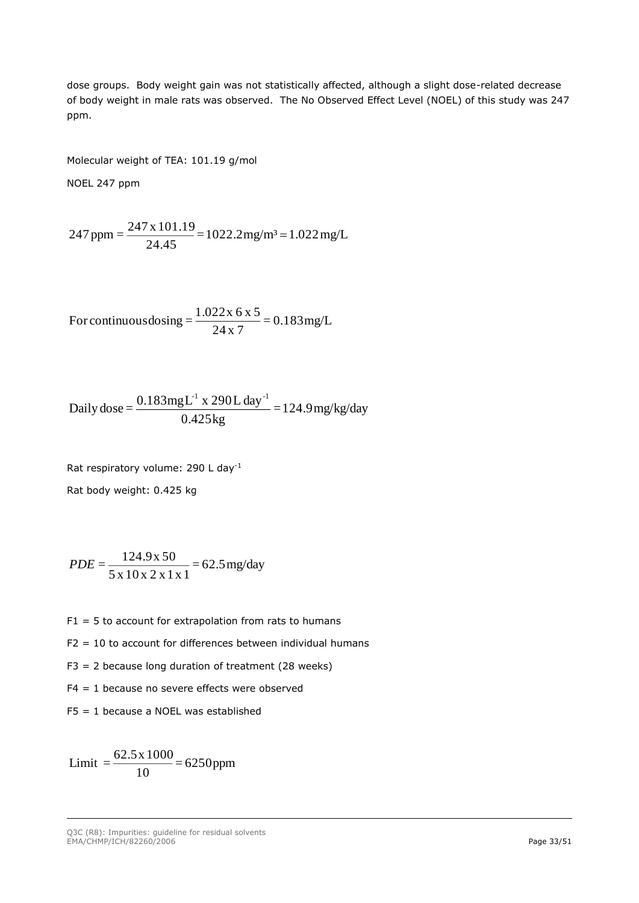dose groups. Body weight gain was not statistically affected, although a slight dose-related decrease of body weight in male rats was observed. The No Observed Effect Level (NOEL) of this study was 247 ppm.

Molecular weight of TEA: 101.19 g/mol

NOEL 247 ppm

$$
247 \text{ ppm} = \frac{247 \text{ x } 101.19}{24.45} = 1022.2 \text{ mg/m}^3 = 1.022 \text{ mg/L}
$$

For continuous  
dosing 
$$
=
$$
 
$$
\frac{1.022 \times 6 \times 5}{24 \times 7} = 0.183 \text{mg/L}
$$

Daily dose = 
$$
\frac{0.183mgL^{1} \times 290L \text{ day}^{-1}}{0.425 \text{ kg}} = 124.9 \text{ mg/kg/day}
$$

Rat respiratory volume: 290 L day-1 Rat body weight: 0.425 kg

$$
PDE = \frac{124.9 \times 50}{5 \times 10 \times 2 \times 1 \times 1} = 62.5 \,\text{mg/day}
$$

- $F1 = 5$  to account for extrapolation from rats to humans
- $F2 = 10$  to account for differences between individual humans
- $F3 = 2$  because long duration of treatment (28 weeks)
- F4 = 1 because no severe effects were observed
- F5 = 1 because a NOEL was established

Limit = 
$$
\frac{62.5 \times 1000}{10} = 6250 \text{ppm}
$$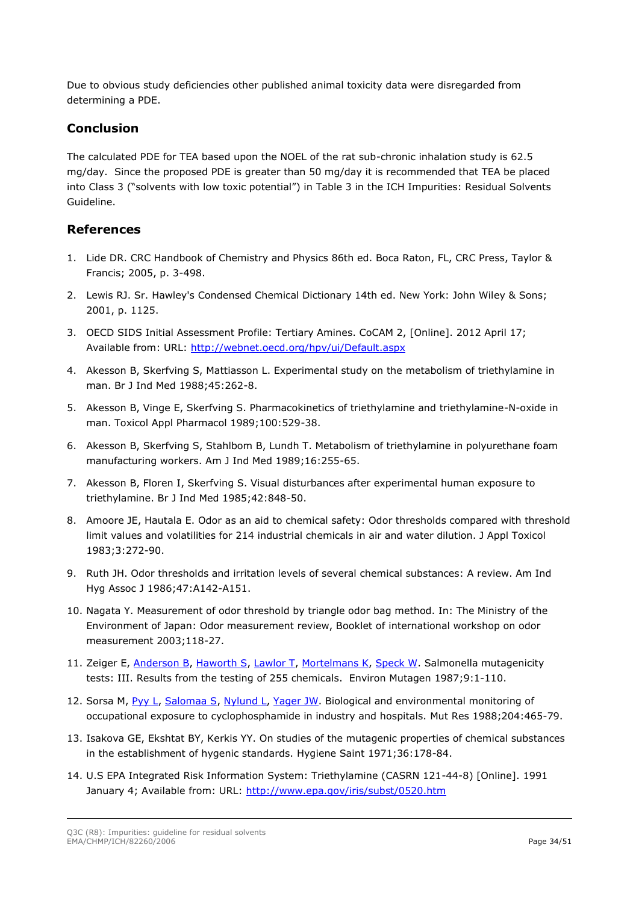Due to obvious study deficiencies other published animal toxicity data were disregarded from determining a PDE.

#### **Conclusion**

The calculated PDE for TEA based upon the NOEL of the rat sub-chronic inhalation study is 62.5 mg/day. Since the proposed PDE is greater than 50 mg/day it is recommended that TEA be placed into Class 3 ("solvents with low toxic potential") in Table 3 in the ICH Impurities: Residual Solvents Guideline.

#### **References**

- 1. Lide DR. CRC Handbook of Chemistry and Physics 86th ed. Boca Raton, FL, CRC Press, Taylor & Francis; 2005, p. 3-498.
- 2. Lewis RJ. Sr. Hawley's Condensed Chemical Dictionary 14th ed. New York: John Wiley & Sons; 2001, p. 1125.
- 3. OECD SIDS Initial Assessment Profile: Tertiary Amines. CoCAM 2, [Online]. 2012 April 17; Available from: URL:<http://webnet.oecd.org/hpv/ui/Default.aspx>
- 4. Akesson B, Skerfving S, Mattiasson L. Experimental study on the metabolism of triethylamine in man. Br J Ind Med 1988;45:262-8.
- 5. Akesson B, Vinge E, Skerfving S. Pharmacokinetics of triethylamine and triethylamine-N-oxide in man. Toxicol Appl Pharmacol 1989;100:529-38.
- 6. Akesson B, Skerfving S, Stahlbom B, Lundh T. Metabolism of triethylamine in polyurethane foam manufacturing workers. Am J Ind Med 1989;16:255-65.
- 7. Akesson B, Floren I, Skerfving S. Visual disturbances after experimental human exposure to triethylamine. Br J Ind Med 1985;42:848-50.
- 8. Amoore JE, Hautala E. Odor as an aid to chemical safety: Odor thresholds compared with threshold limit values and volatilities for 214 industrial chemicals in air and water dilution. J Appl Toxicol 1983;3:272-90.
- 9. Ruth JH. Odor thresholds and irritation levels of several chemical substances: A review. Am Ind Hyg Assoc J 1986;47:A142-A151.
- 10. Nagata Y. Measurement of odor threshold by triangle odor bag method. In: The Ministry of the Environment of Japan: Odor measurement review, Booklet of international workshop on odor measurement 2003;118-27.
- 11. Zeiger E, [Anderson B,](http://www.ncbi.nlm.nih.gov/pubmed/?term=Anderson%20B%5BAuthor%5D&cauthor=true&cauthor_uid=3552650) [Haworth S,](http://www.ncbi.nlm.nih.gov/pubmed/?term=Haworth%20S%5BAuthor%5D&cauthor=true&cauthor_uid=3552650) [Lawlor T,](http://www.ncbi.nlm.nih.gov/pubmed/?term=Lawlor%20T%5BAuthor%5D&cauthor=true&cauthor_uid=3552650) [Mortelmans K,](http://www.ncbi.nlm.nih.gov/pubmed/?term=Mortelmans%20K%5BAuthor%5D&cauthor=true&cauthor_uid=3552650) [Speck W.](http://www.ncbi.nlm.nih.gov/pubmed/?term=Speck%20W%5BAuthor%5D&cauthor=true&cauthor_uid=3552650) Salmonella mutagenicity tests: III. Results from the testing of 255 chemicals. Environ Mutagen 1987;9:1-110.
- 12. Sorsa M, [Pyy L,](http://www.ncbi.nlm.nih.gov/pubmed/?term=Pyy%20L%5BAuthor%5D&cauthor=true&cauthor_uid=3347217) [Salomaa S,](http://www.ncbi.nlm.nih.gov/pubmed/?term=Salomaa%20S%5BAuthor%5D&cauthor=true&cauthor_uid=3347217) [Nylund L,](http://www.ncbi.nlm.nih.gov/pubmed/?term=Nylund%20L%5BAuthor%5D&cauthor=true&cauthor_uid=3347217) [Yager JW.](http://www.ncbi.nlm.nih.gov/pubmed/?term=Yager%20JW%5BAuthor%5D&cauthor=true&cauthor_uid=3347217) Biological and environmental monitoring of occupational exposure to cyclophosphamide in industry and hospitals. Mut Res 1988;204:465-79.
- 13. Isakova GE, Ekshtat BY, Kerkis YY. On studies of the mutagenic properties of chemical substances in the establishment of hygenic standards. Hygiene Saint 1971;36:178-84.
- 14. U.S EPA Integrated Risk Information System: Triethylamine (CASRN 121-44-8) [Online]. 1991 January 4; Available from: URL:<http://www.epa.gov/iris/subst/0520.htm>

Q3C (R8): Impurities: guideline for residual solvents EMA/CHMP/ICH/82260/2006 **Page 34/51**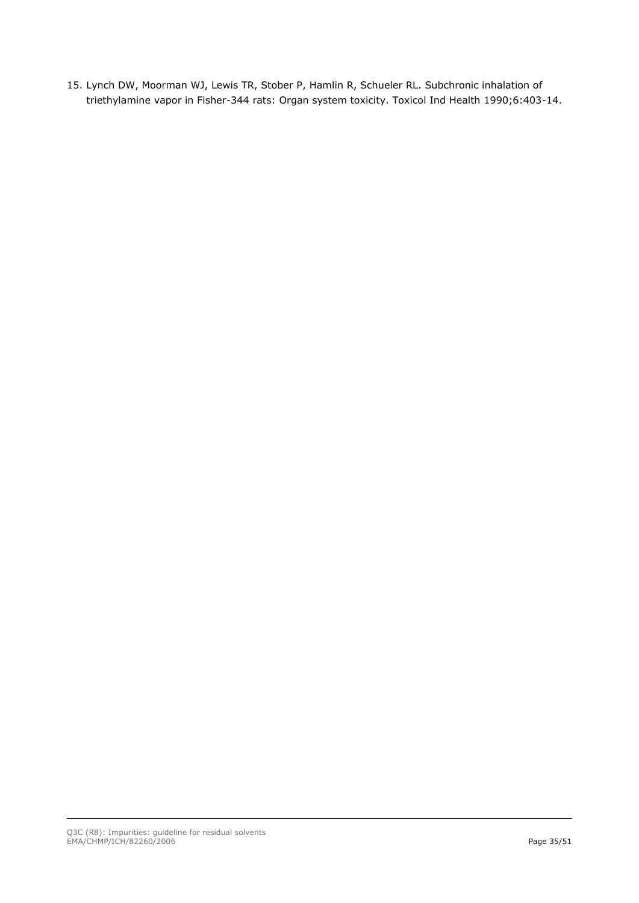15. Lynch DW, Moorman WJ, Lewis TR, Stober P, Hamlin R, Schueler RL. Subchronic inhalation of triethylamine vapor in Fisher-344 rats: Organ system toxicity. Toxicol Ind Health 1990;6:403-14.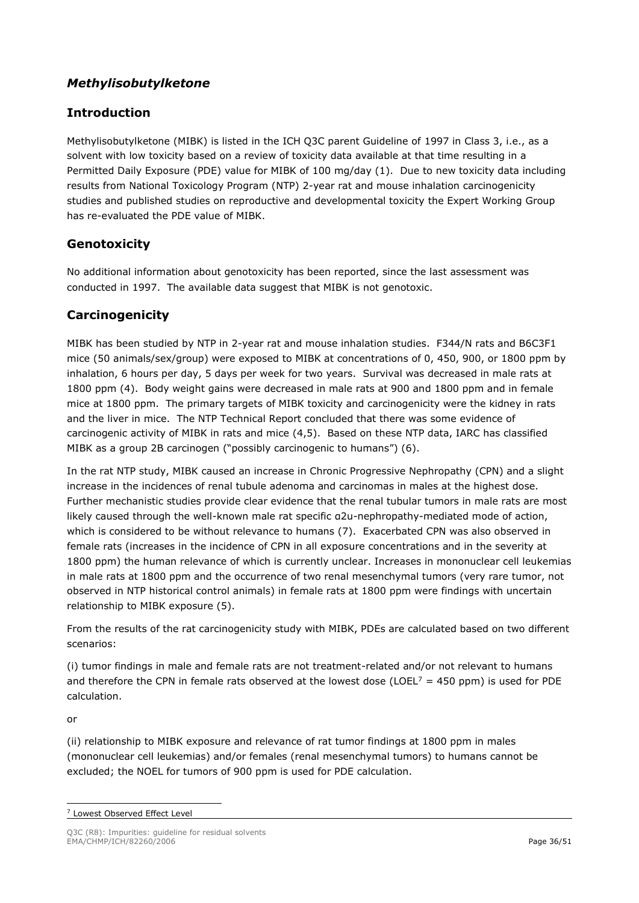## *Methylisobutylketone*

## **Introduction**

Methylisobutylketone (MIBK) is listed in the ICH Q3C parent Guideline of 1997 in Class 3, i.e., as a solvent with low toxicity based on a review of toxicity data available at that time resulting in a Permitted Daily Exposure (PDE) value for MIBK of 100 mg/day (1). Due to new toxicity data including results from National Toxicology Program (NTP) 2-year rat and mouse inhalation carcinogenicity studies and published studies on reproductive and developmental toxicity the Expert Working Group has re-evaluated the PDE value of MIBK.

### **Genotoxicity**

No additional information about genotoxicity has been reported, since the last assessment was conducted in 1997. The available data suggest that MIBK is not genotoxic.

### **Carcinogenicity**

MIBK has been studied by NTP in 2-year rat and mouse inhalation studies. F344/N rats and B6C3F1 mice (50 animals/sex/group) were exposed to MIBK at concentrations of 0, 450, 900, or 1800 ppm by inhalation, 6 hours per day, 5 days per week for two years. Survival was decreased in male rats at 1800 ppm (4). Body weight gains were decreased in male rats at 900 and 1800 ppm and in female mice at 1800 ppm. The primary targets of MIBK toxicity and carcinogenicity were the kidney in rats and the liver in mice. The NTP Technical Report concluded that there was some evidence of carcinogenic activity of MIBK in rats and mice (4,5). Based on these NTP data, IARC has classified MIBK as a group 2B carcinogen ("possibly carcinogenic to humans") (6).

In the rat NTP study, MIBK caused an increase in Chronic Progressive Nephropathy (CPN) and a slight increase in the incidences of renal tubule adenoma and carcinomas in males at the highest dose. Further mechanistic studies provide clear evidence that the renal tubular tumors in male rats are most likely caused through the well-known male rat specific α2u-nephropathy-mediated mode of action, which is considered to be without relevance to humans (7). Exacerbated CPN was also observed in female rats (increases in the incidence of CPN in all exposure concentrations and in the severity at 1800 ppm) the human relevance of which is currently unclear. Increases in mononuclear cell leukemias in male rats at 1800 ppm and the occurrence of two renal mesenchymal tumors (very rare tumor, not observed in NTP historical control animals) in female rats at 1800 ppm were findings with uncertain relationship to MIBK exposure (5).

From the results of the rat carcinogenicity study with MIBK, PDEs are calculated based on two different scenarios:

(i) tumor findings in male and female rats are not treatment-related and/or not relevant to humans and therefore the CPN in female rats observed at the lowest dose (LOEL<sup>7</sup> = 450 ppm) is used for PDE calculation.

or

(ii) relationship to MIBK exposure and relevance of rat tumor findings at 1800 ppm in males (mononuclear cell leukemias) and/or females (renal mesenchymal tumors) to humans cannot be excluded; the NOEL for tumors of 900 ppm is used for PDE calculation.

<sup>7</sup> Lowest Observed Effect Level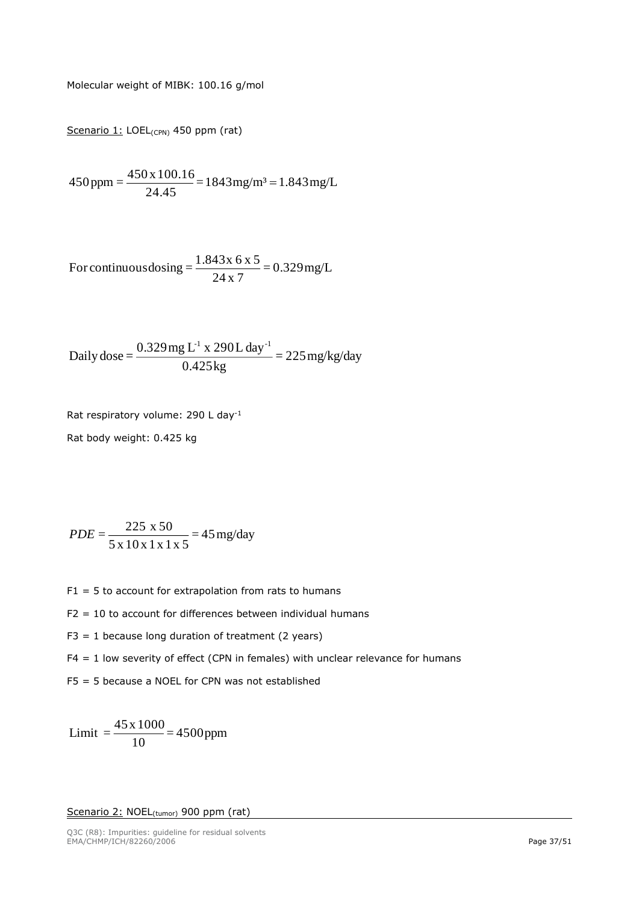Molecular weight of MIBK: 100.16 g/mol

Scenario 1: LOEL<sub>(CPN)</sub> 450 ppm (rat)

$$
450 \text{ ppm} = \frac{450 \text{ x } 100.16}{24.45} = 1843 \text{ mg/m}^3 = 1.843 \text{ mg/L}
$$

For continuous dosing = 
$$
\frac{1.843x \times 6 \times 5}{24 \times 7} = 0.329 \text{ mg/L}
$$

Daily dose = 
$$
\frac{0.329 \text{ mg L}^1 \times 290 \text{ L day}^1}{0.425 \text{ kg}} = 225 \text{ mg/kg/day}
$$

Rat respiratory volume: 290 L day-1

Rat body weight: 0.425 kg

$$
PDE = \frac{225 \times 50}{5 \times 10 \times 1 \times 1 \times 5} = 45 \text{ mg/day}
$$

- $F1 = 5$  to account for extrapolation from rats to humans
- $F2 = 10$  to account for differences between individual humans
- $F3 = 1$  because long duration of treatment (2 years)
- $F4 = 1$  low severity of effect (CPN in females) with unclear relevance for humans
- F5 = 5 because a NOEL for CPN was not established

 $\frac{118888}{10}$  = 4500 ppm  $Limit = \frac{45 \times 1000}{4}$ 

#### Scenario 2: NOEL<sub>(tumor)</sub> 900 ppm (rat)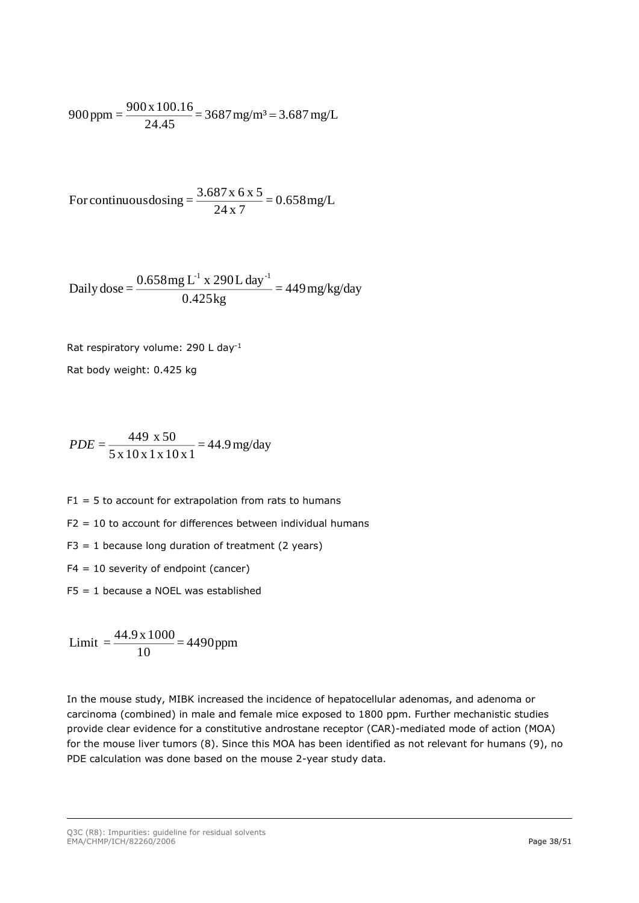$$
900 \text{ ppm} = \frac{900 \text{ x } 100.16}{24.45} = 3687 \text{ mg/m}^3 = 3.687 \text{ mg/L}
$$

For continuous  
dosing = 
$$
\frac{3.687 \times 6 \times 5}{24 \times 7} = 0.658 \text{mg/L}
$$

Daily dose = 
$$
\frac{0.658mg L^1 x 290L day^{-1}}{0.425kg} = 449 mg/kg/day
$$

Rat respiratory volume: 290 L day-1

Rat body weight: 0.425 kg

$$
PDE = \frac{449 \times 50}{5 \times 10 \times 1 \times 10 \times 1} = 44.9 \,\text{mg/day}
$$

 $F1 = 5$  to account for extrapolation from rats to humans

 $F2 = 10$  to account for differences between individual humans

 $F3 = 1$  because long duration of treatment (2 years)

 $F4 = 10$  severity of endpoint (cancer)

F5 = 1 because a NOEL was established

 $\frac{111000}{10}$  = 4490ppm  $Limit = \frac{44.9 \times 1000}{4}$ 

In the mouse study, MIBK increased the incidence of hepatocellular adenomas, and adenoma or carcinoma (combined) in male and female mice exposed to 1800 ppm. Further mechanistic studies provide clear evidence for a constitutive androstane receptor (CAR)-mediated mode of action (MOA) for the mouse liver tumors (8). Since this MOA has been identified as not relevant for humans (9), no PDE calculation was done based on the mouse 2-year study data.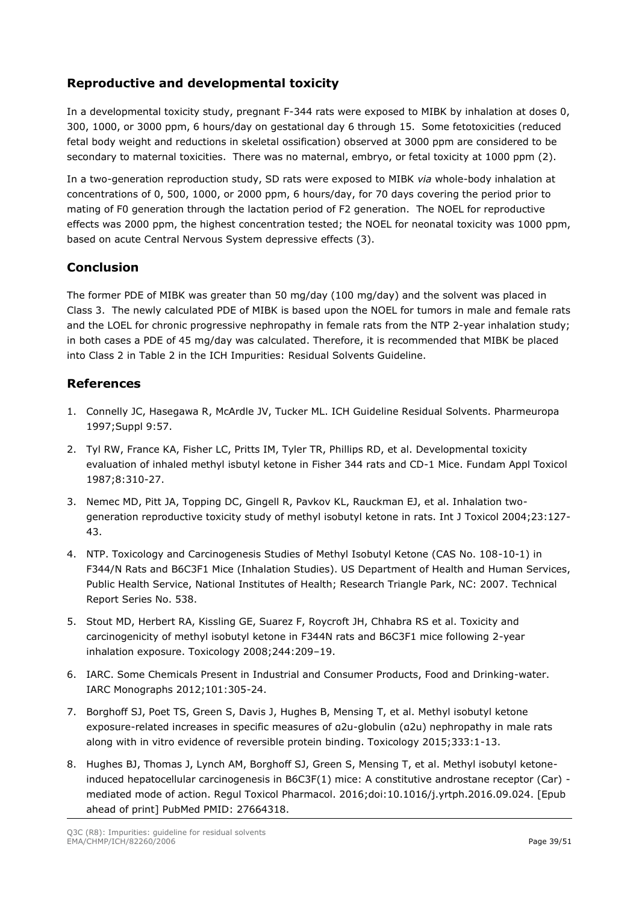## **Reproductive and developmental toxicity**

In a developmental toxicity study, pregnant F-344 rats were exposed to MIBK by inhalation at doses 0, 300, 1000, or 3000 ppm, 6 hours/day on gestational day 6 through 15. Some fetotoxicities (reduced fetal body weight and reductions in skeletal ossification) observed at 3000 ppm are considered to be secondary to maternal toxicities. There was no maternal, embryo, or fetal toxicity at 1000 ppm (2).

In a two-generation reproduction study, SD rats were exposed to MIBK *via* whole-body inhalation at concentrations of 0, 500, 1000, or 2000 ppm, 6 hours/day, for 70 days covering the period prior to mating of F0 generation through the lactation period of F2 generation. The NOEL for reproductive effects was 2000 ppm, the highest concentration tested; the NOEL for neonatal toxicity was 1000 ppm, based on acute Central Nervous System depressive effects (3).

### **Conclusion**

The former PDE of MIBK was greater than 50 mg/day (100 mg/day) and the solvent was placed in Class 3. The newly calculated PDE of MIBK is based upon the NOEL for tumors in male and female rats and the LOEL for chronic progressive nephropathy in female rats from the NTP 2-year inhalation study; in both cases a PDE of 45 mg/day was calculated. Therefore, it is recommended that MIBK be placed into Class 2 in Table 2 in the ICH Impurities: Residual Solvents Guideline.

#### **References**

- 1. Connelly JC, Hasegawa R, McArdle JV, Tucker ML. ICH Guideline Residual Solvents. Pharmeuropa 1997;Suppl 9:57.
- 2. Tyl RW, France KA, Fisher LC, Pritts IM, Tyler TR, Phillips RD, et al. Developmental toxicity evaluation of inhaled methyl isbutyl ketone in Fisher 344 rats and CD-1 Mice. Fundam Appl Toxicol 1987;8:310-27.
- 3. Nemec MD, Pitt JA, Topping DC, Gingell R, Pavkov KL, Rauckman EJ, et al. Inhalation twogeneration reproductive toxicity study of methyl isobutyl ketone in rats. Int J Toxicol 2004;23:127- 43.
- 4. NTP. Toxicology and Carcinogenesis Studies of Methyl Isobutyl Ketone (CAS No. 108-10-1) in F344/N Rats and B6C3F1 Mice (Inhalation Studies). US Department of Health and Human Services, Public Health Service, National Institutes of Health; Research Triangle Park, NC: 2007. Technical Report Series No. 538.
- 5. Stout MD, Herbert RA, Kissling GE, Suarez F, Roycroft JH, Chhabra RS et al. Toxicity and carcinogenicity of methyl isobutyl ketone in F344N rats and B6C3F1 mice following 2-year inhalation exposure. Toxicology 2008;244:209–19.
- 6. IARC. Some Chemicals Present in Industrial and Consumer Products, Food and Drinking-water. IARC Monographs 2012;101:305-24.
- 7. Borghoff SJ, Poet TS, Green S, Davis J, Hughes B, Mensing T, et al. Methyl isobutyl ketone exposure-related increases in specific measures of α2u-globulin (α2u) nephropathy in male rats along with in vitro evidence of reversible protein binding. Toxicology 2015;333:1-13.
- 8. Hughes BJ, Thomas J, Lynch AM, Borghoff SJ, Green S, Mensing T, et al. Methyl isobutyl ketoneinduced hepatocellular carcinogenesis in B6C3F(1) mice: A constitutive androstane receptor (Car) mediated mode of action. Regul Toxicol Pharmacol. 2016;doi:10.1016/j.yrtph.2016.09.024. [Epub ahead of print] PubMed PMID: 27664318.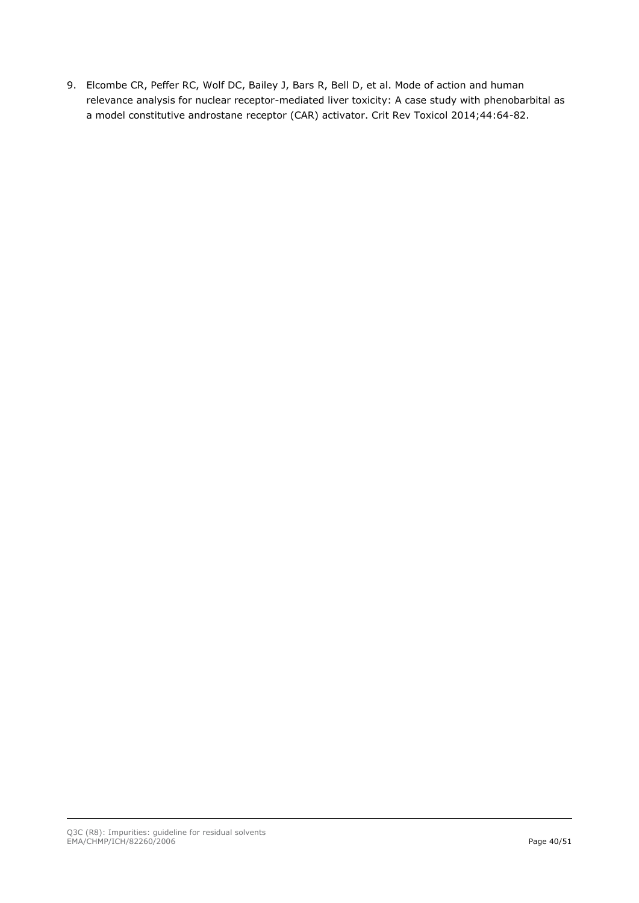9. Elcombe CR, Peffer RC, Wolf DC, Bailey J, Bars R, Bell D, et al. Mode of action and human relevance analysis for nuclear receptor-mediated liver toxicity: A case study with phenobarbital as a model constitutive androstane receptor (CAR) activator. Crit Rev Toxicol 2014;44:64-82.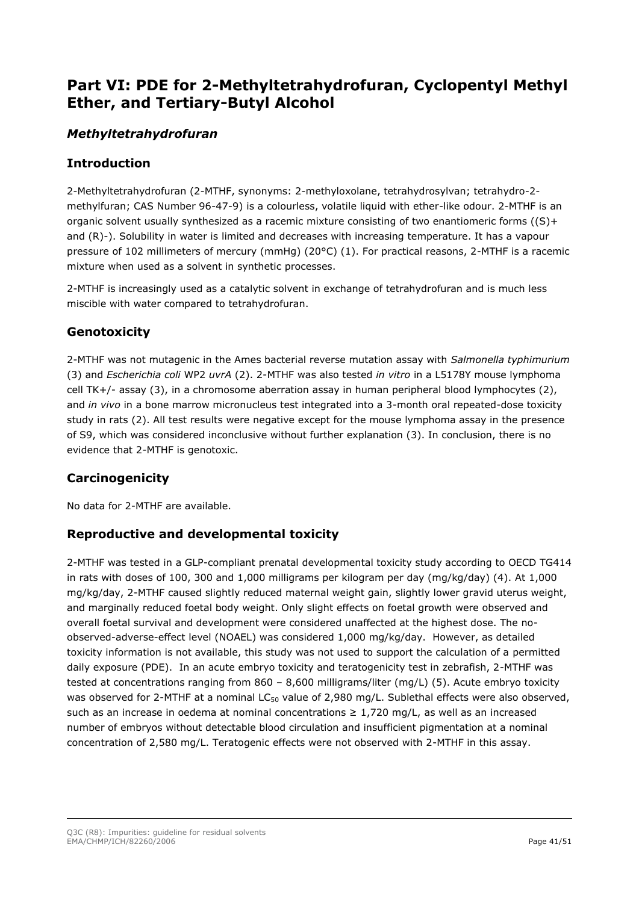# <span id="page-40-0"></span>**Part VI: PDE for 2-Methyltetrahydrofuran, Cyclopentyl Methyl Ether, and Tertiary-Butyl Alcohol**

# *Methyltetrahydrofuran*

## **Introduction**

2-Methyltetrahydrofuran (2-MTHF, synonyms: 2-methyloxolane, tetrahydrosylvan; tetrahydro-2 methylfuran; CAS Number 96-47-9) is a colourless, volatile liquid with ether-like odour. 2-MTHF is an organic solvent usually synthesized as a racemic mixture consisting of two enantiomeric forms ((S)+ and (R)-). Solubility in water is limited and decreases with increasing temperature. It has a vapour pressure of 102 millimeters of mercury (mmHg) (20°C) (1). For practical reasons, 2-MTHF is a racemic mixture when used as a solvent in synthetic processes.

2-MTHF is increasingly used as a catalytic solvent in exchange of tetrahydrofuran and is much less miscible with water compared to tetrahydrofuran.

## **Genotoxicity**

2-MTHF was not mutagenic in the Ames bacterial reverse mutation assay with *Salmonella typhimurium* (3) and *Escherichia coli* WP2 *uvrA* (2). 2-MTHF was also tested *in vitro* in a L5178Y mouse lymphoma cell TK+/- assay (3), in a chromosome aberration assay in human peripheral blood lymphocytes (2), and *in vivo* in a bone marrow micronucleus test integrated into a 3-month oral repeated-dose toxicity study in rats (2). All test results were negative except for the mouse lymphoma assay in the presence of S9, which was considered inconclusive without further explanation (3). In conclusion, there is no evidence that 2-MTHF is genotoxic.

# **Carcinogenicity**

No data for 2-MTHF are available.

### **Reproductive and developmental toxicity**

2-MTHF was tested in a GLP-compliant prenatal developmental toxicity study according to OECD TG414 in rats with doses of 100, 300 and 1,000 milligrams per kilogram per day (mg/kg/day) (4). At 1,000 mg/kg/day, 2-MTHF caused slightly reduced maternal weight gain, slightly lower gravid uterus weight, and marginally reduced foetal body weight. Only slight effects on foetal growth were observed and overall foetal survival and development were considered unaffected at the highest dose. The noobserved-adverse-effect level (NOAEL) was considered 1,000 mg/kg/day. However, as detailed toxicity information is not available, this study was not used to support the calculation of a permitted daily exposure (PDE). In an acute embryo toxicity and teratogenicity test in zebrafish, 2-MTHF was tested at concentrations ranging from 860 – 8,600 milligrams/liter (mg/L) (5). Acute embryo toxicity was observed for 2-MTHF at a nominal LC<sub>50</sub> value of 2,980 mg/L. Sublethal effects were also observed, such as an increase in oedema at nominal concentrations  $\geq 1.720$  mg/L, as well as an increased number of embryos without detectable blood circulation and insufficient pigmentation at a nominal concentration of 2,580 mg/L. Teratogenic effects were not observed with 2-MTHF in this assay.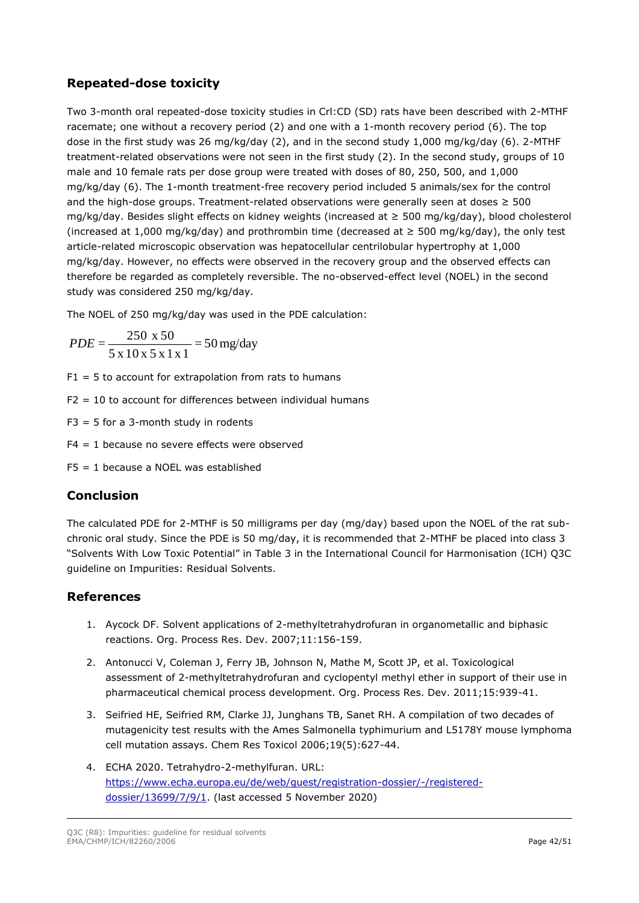### **Repeated-dose toxicity**

Two 3-month oral repeated-dose toxicity studies in Crl:CD (SD) rats have been described with 2-MTHF racemate; one without a recovery period (2) and one with a 1-month recovery period (6). The top dose in the first study was 26 mg/kg/day (2), and in the second study 1,000 mg/kg/day (6). 2-MTHF treatment-related observations were not seen in the first study (2). In the second study, groups of 10 male and 10 female rats per dose group were treated with doses of 80, 250, 500, and 1,000 mg/kg/day (6). The 1-month treatment-free recovery period included 5 animals/sex for the control and the high-dose groups. Treatment-related observations were generally seen at doses  $\geq 500$ mg/kg/day. Besides slight effects on kidney weights (increased at ≥ 500 mg/kg/day), blood cholesterol (increased at 1,000 mg/kg/day) and prothrombin time (decreased at  $\geq$  500 mg/kg/day), the only test article-related microscopic observation was hepatocellular centrilobular hypertrophy at 1,000 mg/kg/day. However, no effects were observed in the recovery group and the observed effects can therefore be regarded as completely reversible. The no-observed-effect level (NOEL) in the second study was considered 250 mg/kg/day.

The NOEL of 250 mg/kg/day was used in the PDE calculation:

$$
PDE = \frac{250 \times 50}{5 \times 10 \times 5 \times 1 \times 1} = 50 \text{ mg/day}
$$

- $F1 = 5$  to account for extrapolation from rats to humans
- $F2 = 10$  to account for differences between individual humans
- $F3 = 5$  for a 3-month study in rodents
- $F4 = 1$  because no severe effects were observed
- $FS = 1$  because a NOEL was established

### **Conclusion**

The calculated PDE for 2-MTHF is 50 milligrams per day (mg/day) based upon the NOEL of the rat subchronic oral study. Since the PDE is 50 mg/day, it is recommended that 2-MTHF be placed into class 3 "Solvents With Low Toxic Potential" in Table 3 in the International Council for Harmonisation (ICH) Q3C guideline on Impurities: Residual Solvents.

### **References**

- 1. Aycock DF. Solvent applications of 2-methyltetrahydrofuran in organometallic and biphasic reactions. Org. Process Res. Dev. 2007;11:156-159.
- 2. Antonucci V, Coleman J, Ferry JB, Johnson N, Mathe M, Scott JP, et al. Toxicological assessment of 2-methyltetrahydrofuran and cyclopentyl methyl ether in support of their use in pharmaceutical chemical process development. Org. Process Res. Dev. 2011;15:939-41.
- 3. Seifried HE, Seifried RM, Clarke JJ, Junghans TB, Sanet RH. A compilation of two decades of mutagenicity test results with the Ames Salmonella typhimurium and L5178Y mouse lymphoma cell mutation assays. Chem Res Toxicol 2006;19(5):627-44.
- 4. ECHA 2020. Tetrahydro-2-methylfuran. URL: [https://www.echa.europa.eu/de/web/guest/registration-dossier/-/registered](https://www.echa.europa.eu/de/web/guest/registration-dossier/-/registered-dossier/13699/7/9/1)[dossier/13699/7/9/1.](https://www.echa.europa.eu/de/web/guest/registration-dossier/-/registered-dossier/13699/7/9/1) (last accessed 5 November 2020)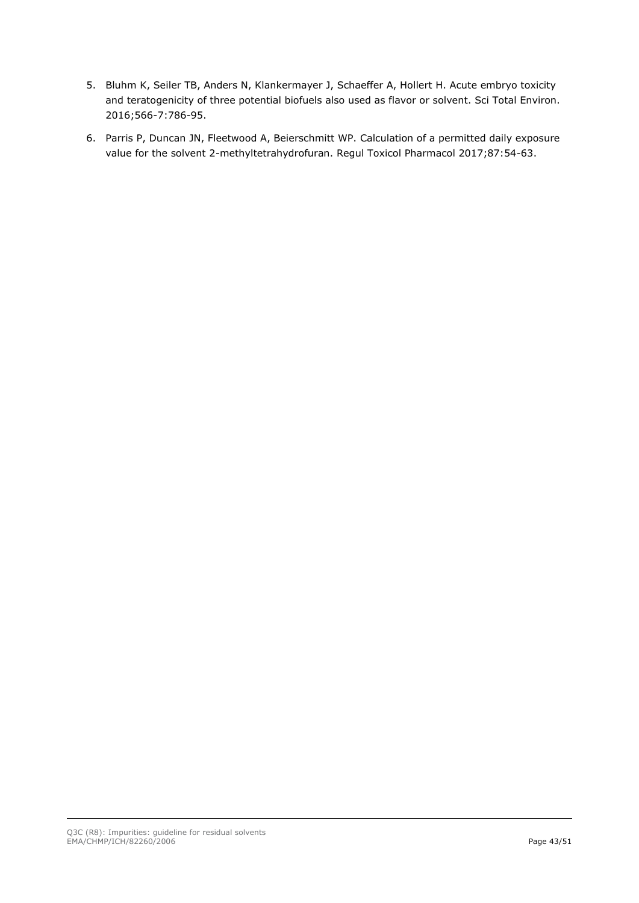- 5. Bluhm K, Seiler TB, Anders N, Klankermayer J, Schaeffer A, Hollert H. Acute embryo toxicity and teratogenicity of three potential biofuels also used as flavor or solvent. Sci Total Environ. 2016;566-7:786-95.
- 6. Parris P, Duncan JN, Fleetwood A, Beierschmitt WP. Calculation of a permitted daily exposure value for the solvent 2-methyltetrahydrofuran. Regul Toxicol Pharmacol 2017;87:54-63.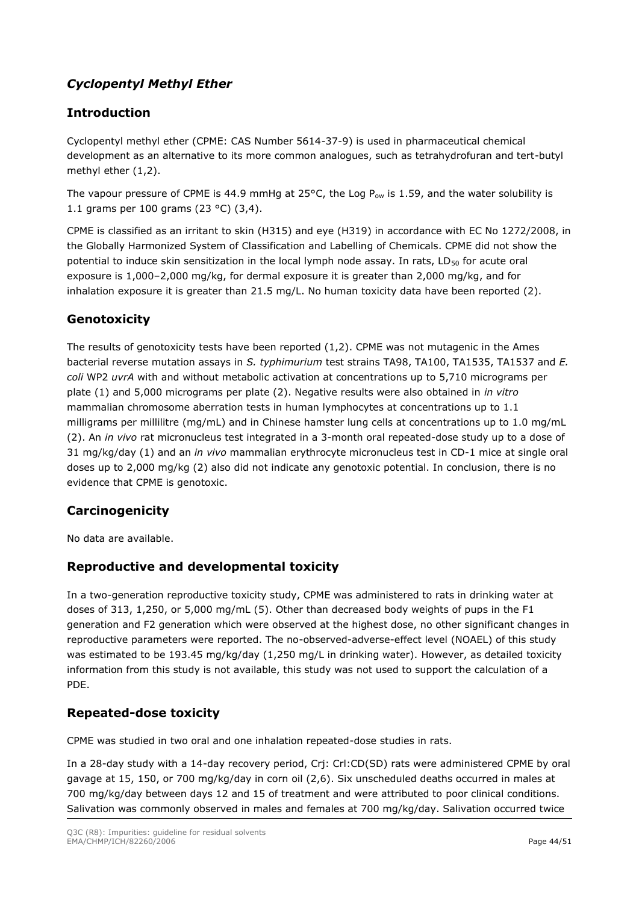# *Cyclopentyl Methyl Ether*

# **Introduction**

Cyclopentyl methyl ether (CPME: CAS Number 5614-37-9) is used in pharmaceutical chemical development as an alternative to its more common analogues, such as tetrahydrofuran and tert-butyl methyl ether (1,2).

The vapour pressure of CPME is 44.9 mmHg at 25°C, the Log  $P_{ow}$  is 1.59, and the water solubility is 1.1 grams per 100 grams (23 °C) (3,4).

CPME is classified as an irritant to skin (H315) and eye (H319) in accordance with EC No 1272/2008, in the Globally Harmonized System of Classification and Labelling of Chemicals. CPME did not show the potential to induce skin sensitization in the local lymph node assay. In rats, LD<sub>50</sub> for acute oral exposure is 1,000–2,000 mg/kg, for dermal exposure it is greater than 2,000 mg/kg, and for inhalation exposure it is greater than 21.5 mg/L. No human toxicity data have been reported (2).

# **Genotoxicity**

The results of genotoxicity tests have been reported (1,2). CPME was not mutagenic in the Ames bacterial reverse mutation assays in *S. typhimurium* test strains TA98, TA100, TA1535, TA1537 and *E. coli* WP2 *uvrA* with and without metabolic activation at concentrations up to 5,710 micrograms per plate (1) and 5,000 micrograms per plate (2). Negative results were also obtained in *in vitro* mammalian chromosome aberration tests in human lymphocytes at concentrations up to 1.1 milligrams per millilitre (mg/mL) and in Chinese hamster lung cells at concentrations up to 1.0 mg/mL (2). An *in vivo* rat micronucleus test integrated in a 3-month oral repeated-dose study up to a dose of 31 mg/kg/day (1) and an *in vivo* mammalian erythrocyte micronucleus test in CD-1 mice at single oral doses up to 2,000 mg/kg (2) also did not indicate any genotoxic potential. In conclusion, there is no evidence that CPME is genotoxic.

# **Carcinogenicity**

No data are available.

### **Reproductive and developmental toxicity**

In a two-generation reproductive toxicity study, CPME was administered to rats in drinking water at doses of 313, 1,250, or 5,000 mg/mL (5). Other than decreased body weights of pups in the F1 generation and F2 generation which were observed at the highest dose, no other significant changes in reproductive parameters were reported. The no-observed-adverse-effect level (NOAEL) of this study was estimated to be 193.45 mg/kg/day (1,250 mg/L in drinking water). However, as detailed toxicity information from this study is not available, this study was not used to support the calculation of a PDE.

### **Repeated-dose toxicity**

CPME was studied in two oral and one inhalation repeated-dose studies in rats.

In a 28-day study with a 14-day recovery period, Crj: Crl:CD(SD) rats were administered CPME by oral gavage at 15, 150, or 700 mg/kg/day in corn oil (2,6). Six unscheduled deaths occurred in males at 700 mg/kg/day between days 12 and 15 of treatment and were attributed to poor clinical conditions. Salivation was commonly observed in males and females at 700 mg/kg/day. Salivation occurred twice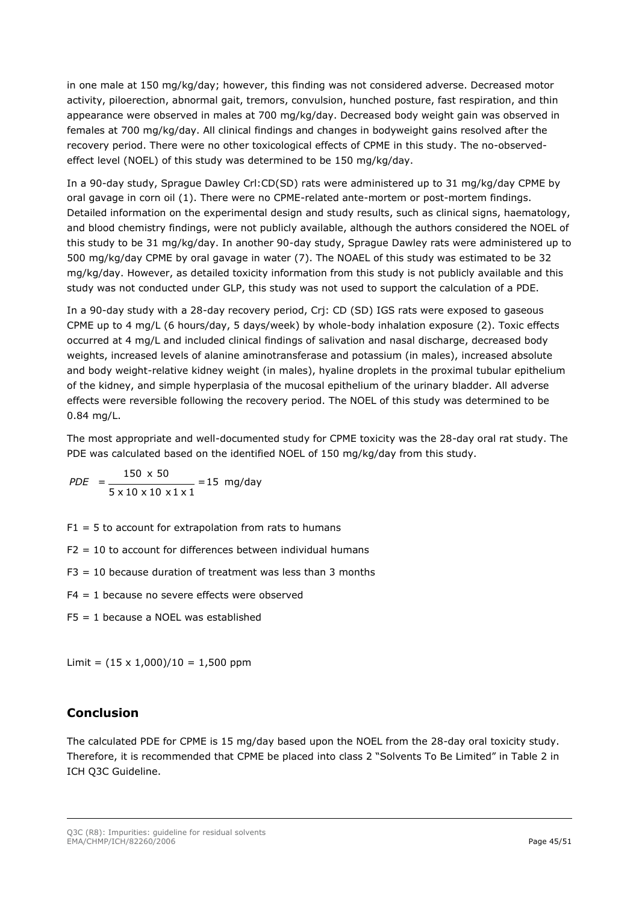in one male at 150 mg/kg/day; however, this finding was not considered adverse. Decreased motor activity, piloerection, abnormal gait, tremors, convulsion, hunched posture, fast respiration, and thin appearance were observed in males at 700 mg/kg/day. Decreased body weight gain was observed in females at 700 mg/kg/day. All clinical findings and changes in bodyweight gains resolved after the recovery period. There were no other toxicological effects of CPME in this study. The no-observedeffect level (NOEL) of this study was determined to be 150 mg/kg/day.

In a 90-day study, Sprague Dawley Crl:CD(SD) rats were administered up to 31 mg/kg/day CPME by oral gavage in corn oil (1). There were no CPME-related ante-mortem or post-mortem findings. Detailed information on the experimental design and study results, such as clinical signs, haematology, and blood chemistry findings, were not publicly available, although the authors considered the NOEL of this study to be 31 mg/kg/day. In another 90-day study, Sprague Dawley rats were administered up to 500 mg/kg/day CPME by oral gavage in water (7). The NOAEL of this study was estimated to be 32 mg/kg/day. However, as detailed toxicity information from this study is not publicly available and this study was not conducted under GLP, this study was not used to support the calculation of a PDE.

In a 90-day study with a 28-day recovery period, Crj: CD (SD) IGS rats were exposed to gaseous CPME up to 4 mg/L (6 hours/day, 5 days/week) by whole-body inhalation exposure (2). Toxic effects occurred at 4 mg/L and included clinical findings of salivation and nasal discharge, decreased body weights, increased levels of alanine aminotransferase and potassium (in males), increased absolute and body weight-relative kidney weight (in males), hyaline droplets in the proximal tubular epithelium of the kidney, and simple hyperplasia of the mucosal epithelium of the urinary bladder. All adverse effects were reversible following the recovery period. The NOEL of this study was determined to be 0.84 mg/L.

The most appropriate and well-documented study for CPME toxicity was the 28-day oral rat study. The PDE was calculated based on the identified NOEL of 150 mg/kg/day from this study.

$$
PDE = \frac{150 \times 50}{5 \times 10 \times 10 \times 1 \times 1} = 15 \text{ mg/day}
$$

- $F1 = 5$  to account for extrapolation from rats to humans
- $F2 = 10$  to account for differences between individual humans
- $F3 = 10$  because duration of treatment was less than 3 months
- $F4 = 1$  because no severe effects were observed
- F5 = 1 because a NOEL was established

Limit =  $(15 \times 1,000)/10 = 1,500$  ppm

### **Conclusion**

The calculated PDE for CPME is 15 mg/day based upon the NOEL from the 28-day oral toxicity study. Therefore, it is recommended that CPME be placed into class 2 "Solvents To Be Limited" in Table 2 in ICH Q3C Guideline.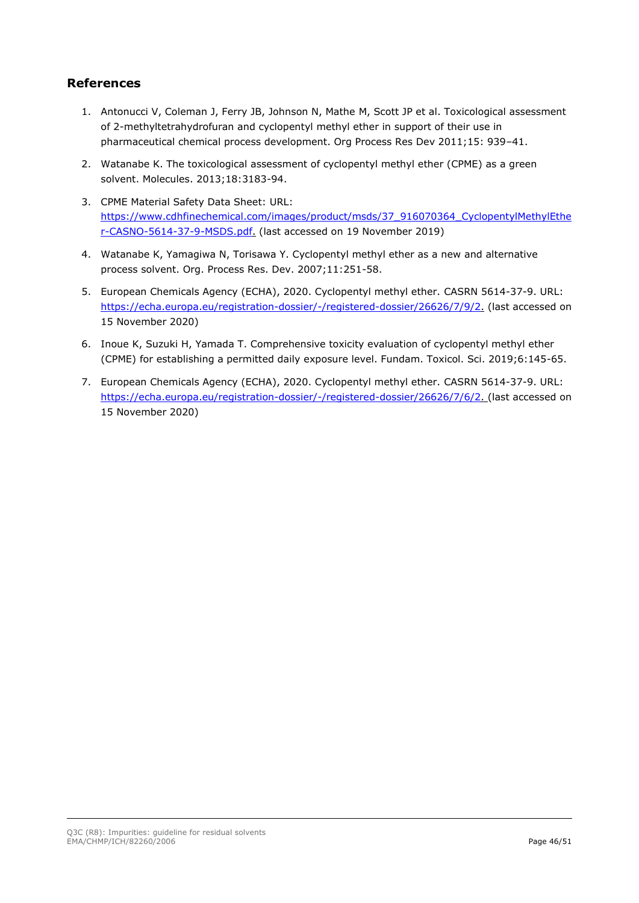## **References**

- 1. Antonucci V, Coleman J, Ferry JB, Johnson N, Mathe M, Scott JP et al. Toxicological assessment of 2-methyltetrahydrofuran and cyclopentyl methyl ether in support of their use in pharmaceutical chemical process development. Org Process Res Dev 2011;15: 939–41.
- 2. Watanabe K. The toxicological assessment of cyclopentyl methyl ether (CPME) as a green solvent. Molecules. 2013;18:3183-94.
- 3. CPME Material Safety Data Sheet: URL: [https://www.cdhfinechemical.com/images/product/msds/37\\_916070364\\_CyclopentylMethylEthe](https://www.cdhfinechemical.com/images/product/msds/37_916070364_CyclopentylMethylEther-CASNO-5614-37-9-MSDS.pdf) [r-CASNO-5614-37-9-MSDS.pdf.](https://www.cdhfinechemical.com/images/product/msds/37_916070364_CyclopentylMethylEther-CASNO-5614-37-9-MSDS.pdf) (last accessed on 19 November 2019)
- 4. Watanabe K, Yamagiwa N, Torisawa Y. Cyclopentyl methyl ether as a new and alternative process solvent. Org. Process Res. Dev. 2007;11:251-58.
- 5. European Chemicals Agency (ECHA), 2020. Cyclopentyl methyl ether. CASRN 5614-37-9. URL: [https://echa.europa.eu/registration-dossier/-/registered-dossier/26626/7/9/2.](https://echa.europa.eu/registration-dossier/-/registered-dossier/26626/7/9/2) (last accessed on 15 November 2020)
- 6. Inoue K, Suzuki H, Yamada T. Comprehensive toxicity evaluation of cyclopentyl methyl ether (CPME) for establishing a permitted daily exposure level. Fundam. Toxicol. Sci. 2019;6:145-65.
- 7. European Chemicals Agency (ECHA), 2020. Cyclopentyl methyl ether. CASRN 5614-37-9. URL: [https://echa.europa.eu/registration-dossier/-/registered-dossier/26626/7/6/2.](https://echa.europa.eu/registration-dossier/-/registered-dossier/26626/7/6/2) (last accessed on 15 November 2020)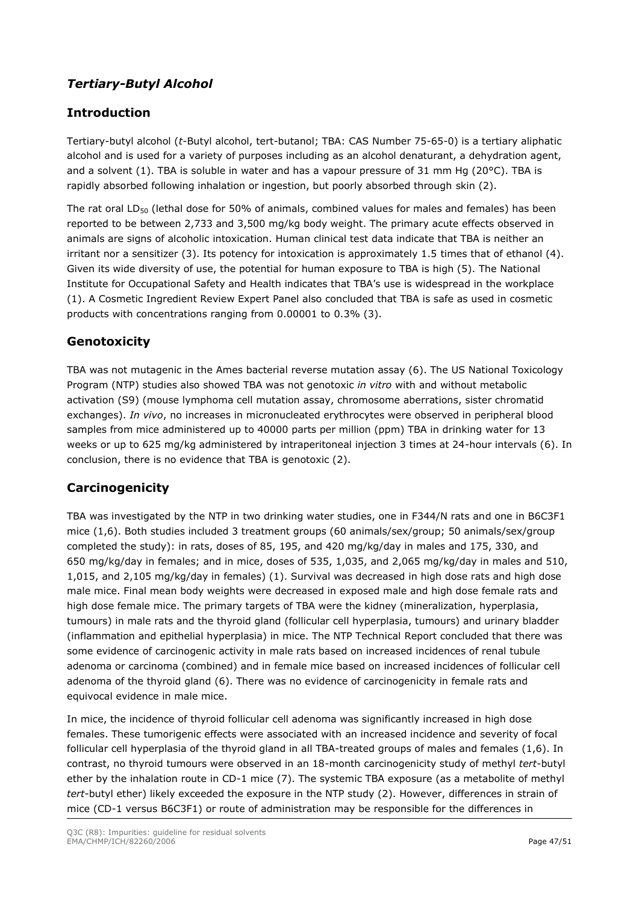# *Tertiary-Butyl Alcohol*

# **Introduction**

Tertiary-butyl alcohol (*t*-Butyl alcohol, tert-butanol; TBA: CAS Number 75-65-0) is a tertiary aliphatic alcohol and is used for a variety of purposes including as an alcohol denaturant, a dehydration agent, and a solvent (1). TBA is soluble in water and has a vapour pressure of 31 mm Hq (20°C). TBA is rapidly absorbed following inhalation or ingestion, but poorly absorbed through skin (2).

The rat oral LD<sub>50</sub> (lethal dose for 50% of animals, combined values for males and females) has been reported to be between 2,733 and 3,500 mg/kg body weight. The primary acute effects observed in animals are signs of alcoholic intoxication. Human clinical test data indicate that TBA is neither an irritant nor a sensitizer (3). Its potency for intoxication is approximately 1.5 times that of ethanol (4). Given its wide diversity of use, the potential for human exposure to TBA is high (5). The National Institute for Occupational Safety and Health indicates that TBA's use is widespread in the workplace (1). A Cosmetic Ingredient Review Expert Panel also concluded that TBA is safe as used in cosmetic products with concentrations ranging from 0.00001 to 0.3% (3).

# **Genotoxicity**

TBA was not mutagenic in the Ames bacterial reverse mutation assay (6). The US National Toxicology Program (NTP) studies also showed TBA was not genotoxic *in vitro* with and without metabolic activation (S9) (mouse lymphoma cell mutation assay, chromosome aberrations, sister chromatid exchanges). *In vivo*, no increases in micronucleated erythrocytes were observed in peripheral blood samples from mice administered up to 40000 parts per million (ppm) TBA in drinking water for 13 weeks or up to 625 mg/kg administered by intraperitoneal injection 3 times at 24-hour intervals (6). In conclusion, there is no evidence that TBA is genotoxic (2).

# **Carcinogenicity**

TBA was investigated by the NTP in two drinking water studies, one in F344/N rats and one in B6C3F1 mice (1,6). Both studies included 3 treatment groups (60 animals/sex/group; 50 animals/sex/group completed the study): in rats, doses of 85, 195, and 420 mg/kg/day in males and 175, 330, and 650 mg/kg/day in females; and in mice, doses of 535, 1,035, and 2,065 mg/kg/day in males and 510, 1,015, and 2,105 mg/kg/day in females) (1). Survival was decreased in high dose rats and high dose male mice. Final mean body weights were decreased in exposed male and high dose female rats and high dose female mice. The primary targets of TBA were the kidney (mineralization, hyperplasia, tumours) in male rats and the thyroid gland (follicular cell hyperplasia, tumours) and urinary bladder (inflammation and epithelial hyperplasia) in mice. The NTP Technical Report concluded that there was some evidence of carcinogenic activity in male rats based on increased incidences of renal tubule adenoma or carcinoma (combined) and in female mice based on increased incidences of follicular cell adenoma of the thyroid gland (6). There was no evidence of carcinogenicity in female rats and equivocal evidence in male mice.

In mice, the incidence of thyroid follicular cell adenoma was significantly increased in high dose females. These tumorigenic effects were associated with an increased incidence and severity of focal follicular cell hyperplasia of the thyroid gland in all TBA-treated groups of males and females (1,6). In contrast, no thyroid tumours were observed in an 18-month carcinogenicity study of methyl *tert*-butyl ether by the inhalation route in CD-1 mice (7). The systemic TBA exposure (as a metabolite of methyl *tert*-butyl ether) likely exceeded the exposure in the NTP study (2). However, differences in strain of mice (CD-1 versus B6C3F1) or route of administration may be responsible for the differences in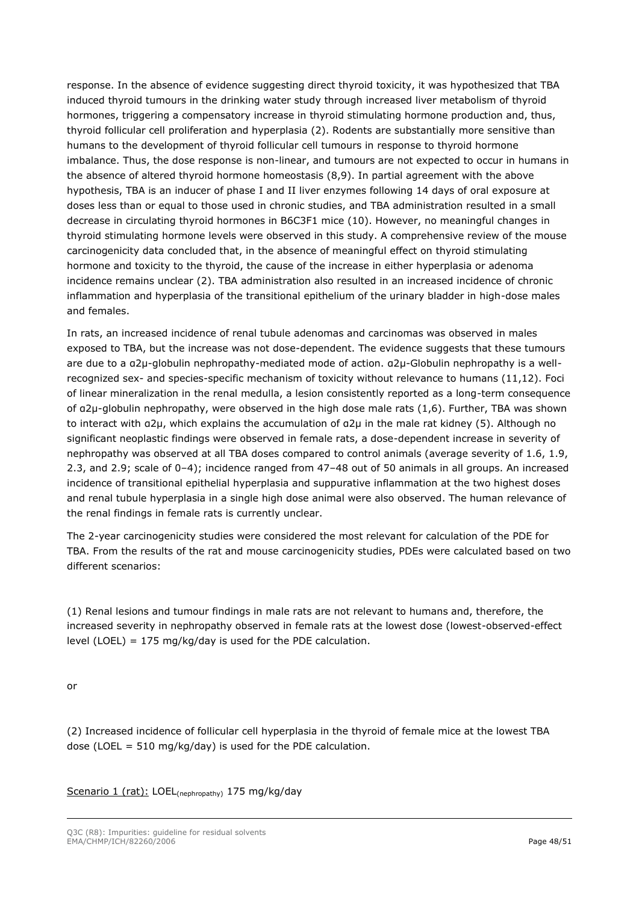response. In the absence of evidence suggesting direct thyroid toxicity, it was hypothesized that TBA induced thyroid tumours in the drinking water study through increased liver metabolism of thyroid hormones, triggering a compensatory increase in thyroid stimulating hormone production and, thus, thyroid follicular cell proliferation and hyperplasia (2). Rodents are substantially more sensitive than humans to the development of thyroid follicular cell tumours in response to thyroid hormone imbalance. Thus, the dose response is non-linear, and tumours are not expected to occur in humans in the absence of altered thyroid hormone homeostasis (8,9). In partial agreement with the above hypothesis, TBA is an inducer of phase I and II liver enzymes following 14 days of oral exposure at doses less than or equal to those used in chronic studies, and TBA administration resulted in a small decrease in circulating thyroid hormones in B6C3F1 mice (10). However, no meaningful changes in thyroid stimulating hormone levels were observed in this study. A comprehensive review of the mouse carcinogenicity data concluded that, in the absence of meaningful effect on thyroid stimulating hormone and toxicity to the thyroid, the cause of the increase in either hyperplasia or adenoma incidence remains unclear (2). TBA administration also resulted in an increased incidence of chronic inflammation and hyperplasia of the transitional epithelium of the urinary bladder in high-dose males and females.

In rats, an increased incidence of renal tubule adenomas and carcinomas was observed in males exposed to TBA, but the increase was not dose-dependent. The evidence suggests that these tumours are due to a α2µ-globulin nephropathy-mediated mode of action. α2µ-Globulin nephropathy is a wellrecognized sex- and species-specific mechanism of toxicity without relevance to humans (11,12). Foci of linear mineralization in the renal medulla, a lesion consistently reported as a long-term consequence of α2µ-globulin nephropathy, were observed in the high dose male rats (1,6). Further, TBA was shown to interact with α2µ, which explains the accumulation of α2µ in the male rat kidney (5). Although no significant neoplastic findings were observed in female rats, a dose-dependent increase in severity of nephropathy was observed at all TBA doses compared to control animals (average severity of 1.6, 1.9, 2.3, and 2.9; scale of 0–4); incidence ranged from 47–48 out of 50 animals in all groups. An increased incidence of transitional epithelial hyperplasia and suppurative inflammation at the two highest doses and renal tubule hyperplasia in a single high dose animal were also observed. The human relevance of the renal findings in female rats is currently unclear.

The 2-year carcinogenicity studies were considered the most relevant for calculation of the PDE for TBA. From the results of the rat and mouse carcinogenicity studies, PDEs were calculated based on two different scenarios:

(1) Renal lesions and tumour findings in male rats are not relevant to humans and, therefore, the increased severity in nephropathy observed in female rats at the lowest dose (lowest-observed-effect level (LOEL) = 175 mg/kg/day is used for the PDE calculation.

or

(2) Increased incidence of follicular cell hyperplasia in the thyroid of female mice at the lowest TBA dose (LOEL = 510 mg/kg/day) is used for the PDE calculation.

Scenario 1 (rat): LOEL<sub>(nephropathy)</sub> 175 mg/kg/day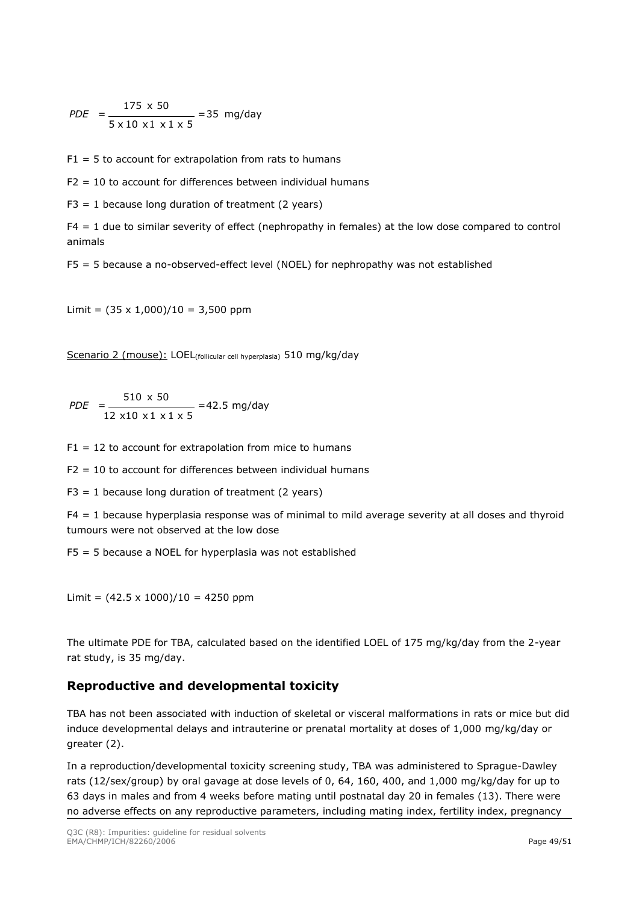$$
PDE = \frac{175 \times 50}{5 \times 10 \times 1 \times 1 \times 5} = 35 \text{ mg/day}
$$

 $F1 = 5$  to account for extrapolation from rats to humans

 $F2 = 10$  to account for differences between individual humans

 $F3 = 1$  because long duration of treatment (2 years)

F4 = 1 due to similar severity of effect (nephropathy in females) at the low dose compared to control animals

F5 = 5 because a no-observed-effect level (NOEL) for nephropathy was not established

Limit =  $(35 \times 1,000)/10 = 3,500$  ppm

Scenario 2 (mouse): LOEL<sub>(follicular cell hyperplasia)</sub> 510 mg/kg/day

 $=42.5$  mg/day 12 x 10 x 1 x 1 x 5 510 x 50 *PDE* =

 $F1 = 12$  to account for extrapolation from mice to humans

 $F2 = 10$  to account for differences between individual humans

 $F3 = 1$  because long duration of treatment (2 years)

F4 = 1 because hyperplasia response was of minimal to mild average severity at all doses and thyroid tumours were not observed at the low dose

F5 = 5 because a NOEL for hyperplasia was not established

Limit =  $(42.5 \times 1000)/10 = 4250$  ppm

The ultimate PDE for TBA, calculated based on the identified LOEL of 175 mg/kg/day from the 2-year rat study, is 35 mg/day.

### **Reproductive and developmental toxicity**

TBA has not been associated with induction of skeletal or visceral malformations in rats or mice but did induce developmental delays and intrauterine or prenatal mortality at doses of 1,000 mg/kg/day or greater (2).

In a reproduction/developmental toxicity screening study, TBA was administered to Sprague-Dawley rats (12/sex/group) by oral gavage at dose levels of 0, 64, 160, 400, and 1,000 mg/kg/day for up to 63 days in males and from 4 weeks before mating until postnatal day 20 in females (13). There were no adverse effects on any reproductive parameters, including mating index, fertility index, pregnancy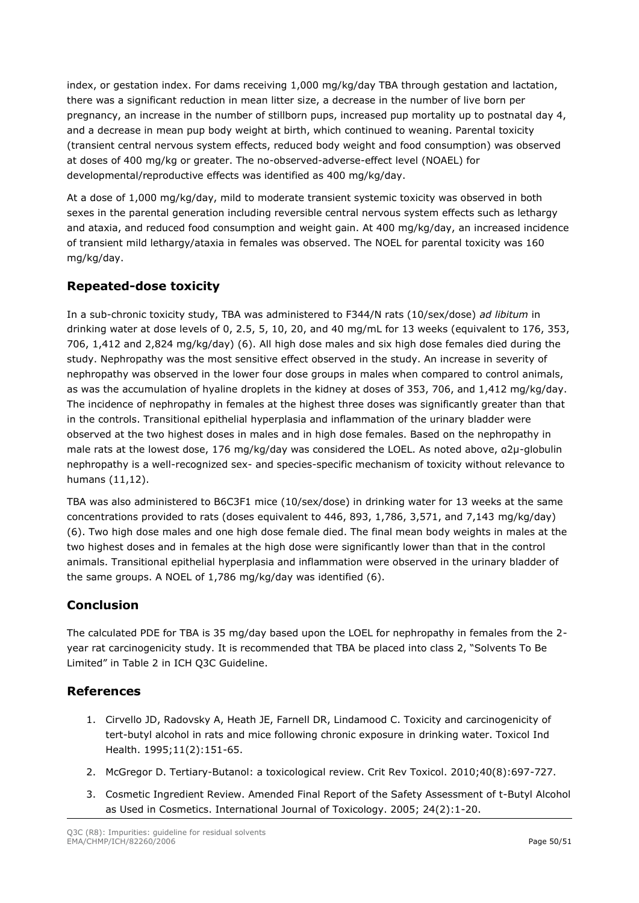index, or gestation index. For dams receiving 1,000 mg/kg/day TBA through gestation and lactation, there was a significant reduction in mean litter size, a decrease in the number of live born per pregnancy, an increase in the number of stillborn pups, increased pup mortality up to postnatal day 4, and a decrease in mean pup body weight at birth, which continued to weaning. Parental toxicity (transient central nervous system effects, reduced body weight and food consumption) was observed at doses of 400 mg/kg or greater. The no-observed-adverse-effect level (NOAEL) for developmental/reproductive effects was identified as 400 mg/kg/day.

At a dose of 1,000 mg/kg/day, mild to moderate transient systemic toxicity was observed in both sexes in the parental generation including reversible central nervous system effects such as lethargy and ataxia, and reduced food consumption and weight gain. At 400 mg/kg/day, an increased incidence of transient mild lethargy/ataxia in females was observed. The NOEL for parental toxicity was 160 mg/kg/day.

# **Repeated-dose toxicity**

In a sub-chronic toxicity study, TBA was administered to F344/N rats (10/sex/dose) *ad libitum* in drinking water at dose levels of 0, 2.5, 5, 10, 20, and 40 mg/mL for 13 weeks (equivalent to 176, 353, 706, 1,412 and 2,824 mg/kg/day) (6). All high dose males and six high dose females died during the study. Nephropathy was the most sensitive effect observed in the study. An increase in severity of nephropathy was observed in the lower four dose groups in males when compared to control animals, as was the accumulation of hyaline droplets in the kidney at doses of 353, 706, and 1,412 mg/kg/day. The incidence of nephropathy in females at the highest three doses was significantly greater than that in the controls. Transitional epithelial hyperplasia and inflammation of the urinary bladder were observed at the two highest doses in males and in high dose females. Based on the nephropathy in male rats at the lowest dose, 176 mg/kg/day was considered the LOEL. As noted above, α2µ-globulin nephropathy is a well-recognized sex- and species-specific mechanism of toxicity without relevance to humans (11,12).

TBA was also administered to B6C3F1 mice (10/sex/dose) in drinking water for 13 weeks at the same concentrations provided to rats (doses equivalent to 446, 893, 1,786, 3,571, and 7,143 mg/kg/day) (6). Two high dose males and one high dose female died. The final mean body weights in males at the two highest doses and in females at the high dose were significantly lower than that in the control animals. Transitional epithelial hyperplasia and inflammation were observed in the urinary bladder of the same groups. A NOEL of 1,786 mg/kg/day was identified (6).

### **Conclusion**

The calculated PDE for TBA is 35 mg/day based upon the LOEL for nephropathy in females from the 2 year rat carcinogenicity study. It is recommended that TBA be placed into class 2, "Solvents To Be Limited" in Table 2 in ICH Q3C Guideline.

### **References**

- 1. Cirvello JD, Radovsky A, Heath JE, Farnell DR, Lindamood C. Toxicity and carcinogenicity of tert-butyl alcohol in rats and mice following chronic exposure in drinking water. Toxicol Ind Health. 1995;11(2):151-65.
- 2. McGregor D. Tertiary-Butanol: a toxicological review. Crit Rev Toxicol. 2010;40(8):697-727.
- 3. Cosmetic Ingredient Review. Amended Final Report of the Safety Assessment of t-Butyl Alcohol as Used in Cosmetics. International Journal of Toxicology. 2005; 24(2):1-20.